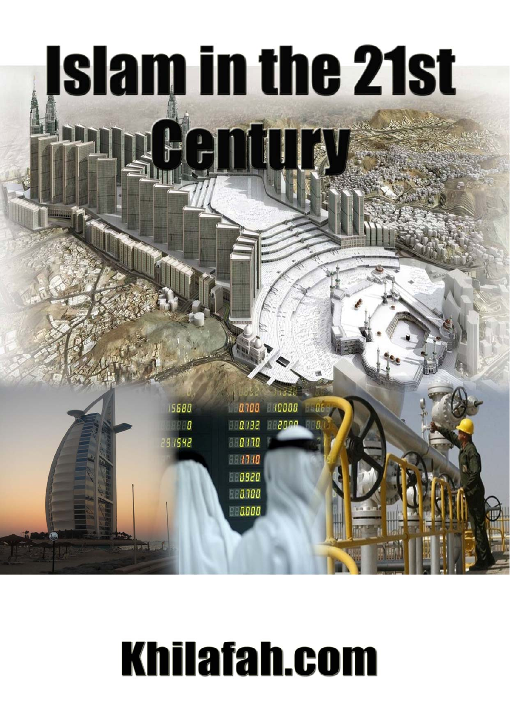

# **Khilafah.com**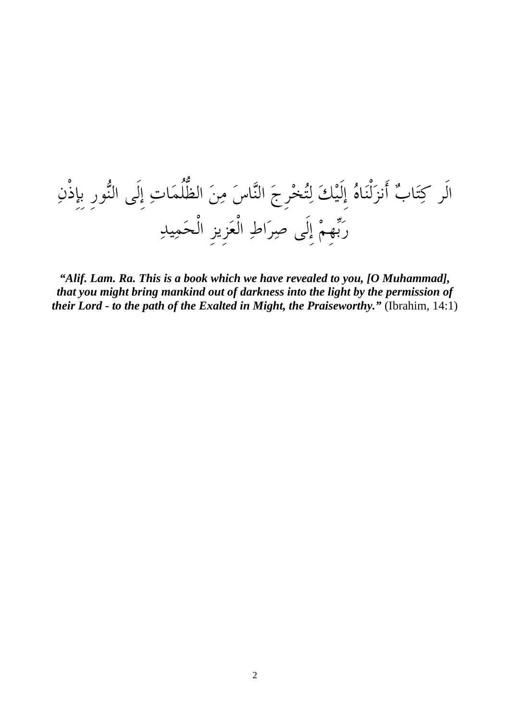الَر كِتَابٌ أَنزَلْنَاهُ إِلَيْكَ لِتُخْرِجَ النَّاسَ مِنَ الظُّلُمَاتِ إِلَى النُّورِ بِإِذْنِ رَبِّهِمْ إِلَى صِرَاطِ الْعَزِيزِ الْحَمِيدِ

*"Alif. Lam. Ra. This is a book which we have revealed to you, [O Muhammad], that you might bring mankind out of darkness into the light by the permission of their Lord - to the path of the Exalted in Might, the Praiseworthy."* (Ibrahim, 14:1)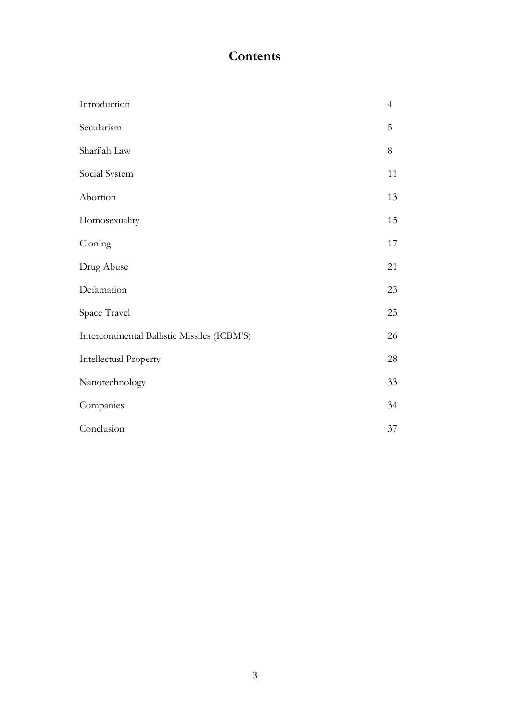# **Contents**

| Introduction                                 | $\overline{4}$ |
|----------------------------------------------|----------------|
| Secularism                                   | 5              |
| Shari'ah Law                                 | 8              |
| Social System                                | 11             |
| Abortion                                     | 13             |
| Homosexuality                                | 15             |
| Cloning                                      | 17             |
| Drug Abuse                                   | 21             |
| Defamation                                   | 23             |
| Space Travel                                 | 25             |
| Intercontinental Ballistic Missiles (ICBM'S) | 26             |
| <b>Intellectual Property</b>                 | 28             |
| Nanotechnology                               | 33             |
| Companies                                    | 34             |
| Conclusion                                   | 37             |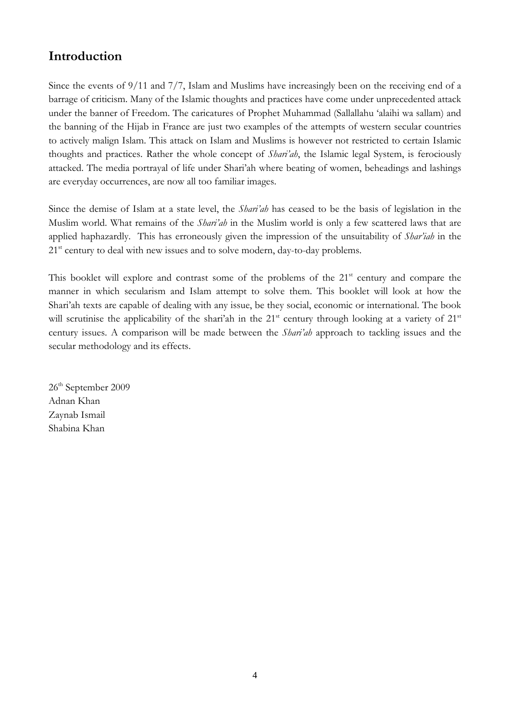# **Introduction**

Since the events of 9/11 and 7/7, Islam and Muslims have increasingly been on the receiving end of a barrage of criticism. Many of the Islamic thoughts and practices have come under unprecedented attack under the banner of Freedom. The caricatures of Prophet Muhammad (Sallallahu 'alaihi wa sallam) and the banning of the Hijab in France are just two examples of the attempts of western secular countries to actively malign Islam. This attack on Islam and Muslims is however not restricted to certain Islamic thoughts and practices. Rather the whole concept of *Shari'ah*, the Islamic legal System, is ferociously attacked. The media portrayal of life under Shari'ah where beating of women, beheadings and lashings are everyday occurrences, are now all too familiar images.

Since the demise of Islam at a state level, the *Shari'ah* has ceased to be the basis of legislation in the Muslim world. What remains of the *Shari'ah* in the Muslim world is only a few scattered laws that are applied haphazardly. This has erroneously given the impression of the unsuitability of *Shar'iah* in the 21<sup>st</sup> century to deal with new issues and to solve modern, day-to-day problems.

This booklet will explore and contrast some of the problems of the  $21<sup>st</sup>$  century and compare the manner in which secularism and Islam attempt to solve them. This booklet will look at how the Shari'ah texts are capable of dealing with any issue, be they social, economic or international. The book will scrutinise the applicability of the shari'ah in the  $21^{st}$  century through looking at a variety of  $21^{st}$ century issues. A comparison will be made between the *Shari'ah* approach to tackling issues and the secular methodology and its effects.

26<sup>th</sup> September 2009 Adnan Khan Zaynab Ismail Shabina Khan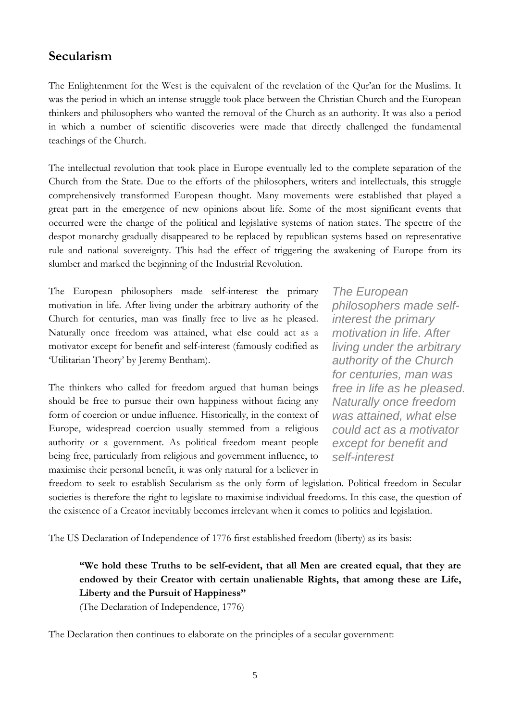## **Secularism**

The Enlightenment for the West is the equivalent of the revelation of the Qur'an for the Muslims. It was the period in which an intense struggle took place between the Christian Church and the European thinkers and philosophers who wanted the removal of the Church as an authority. It was also a period in which a number of scientific discoveries were made that directly challenged the fundamental teachings of the Church.

The intellectual revolution that took place in Europe eventually led to the complete separation of the Church from the State. Due to the efforts of the philosophers, writers and intellectuals, this struggle comprehensively transformed European thought. Many movements were established that played a great part in the emergence of new opinions about life. Some of the most significant events that occurred were the change of the political and legislative systems of nation states. The spectre of the despot monarchy gradually disappeared to be replaced by republican systems based on representative rule and national sovereignty. This had the effect of triggering the awakening of Europe from its slumber and marked the beginning of the Industrial Revolution.

The European philosophers made self-interest the primary motivation in life. After living under the arbitrary authority of the Church for centuries, man was finally free to live as he pleased. Naturally once freedom was attained, what else could act as a motivator except for benefit and self-interest (famously codified as 'Utilitarian Theory' by Jeremy Bentham).

The thinkers who called for freedom argued that human beings should be free to pursue their own happiness without facing any form of coercion or undue influence. Historically, in the context of Europe, widespread coercion usually stemmed from a religious authority or a government. As political freedom meant people being free, particularly from religious and government influence, to maximise their personal benefit, it was only natural for a believer in

*The European philosophers made selfinterest the primary motivation in life. After living under the arbitrary authority of the Church for centuries, man was free in life as he pleased. Naturally once freedom was attained, what else could act as a motivator except for benefit and self-interest* 

freedom to seek to establish Secularism as the only form of legislation. Political freedom in Secular societies is therefore the right to legislate to maximise individual freedoms. In this case, the question of the existence of a Creator inevitably becomes irrelevant when it comes to politics and legislation.

The US Declaration of Independence of 1776 first established freedom (liberty) as its basis:

**"We hold these Truths to be self-evident, that all Men are created equal, that they are endowed by their Creator with certain unalienable Rights, that among these are Life, Liberty and the Pursuit of Happiness"** 

(The Declaration of Independence, 1776)

The Declaration then continues to elaborate on the principles of a secular government: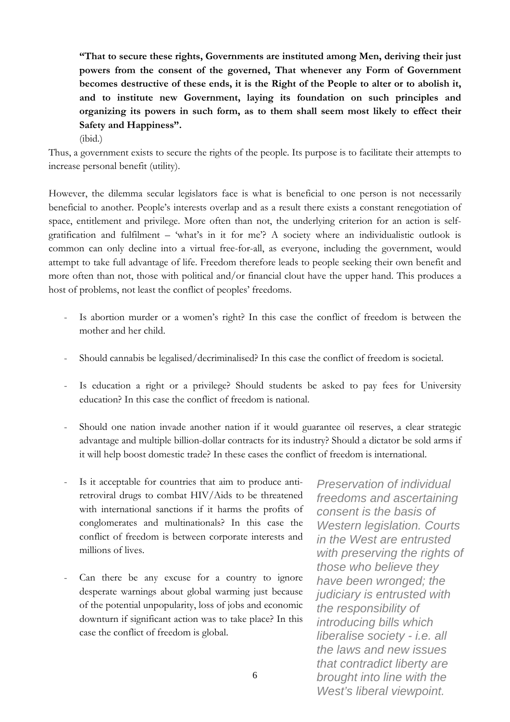**"That to secure these rights, Governments are instituted among Men, deriving their just powers from the consent of the governed, That whenever any Form of Government becomes destructive of these ends, it is the Right of the People to alter or to abolish it, and to institute new Government, laying its foundation on such principles and organizing its powers in such form, as to them shall seem most likely to effect their Safety and Happiness".** 

(ibid.)

Thus, a government exists to secure the rights of the people. Its purpose is to facilitate their attempts to increase personal benefit (utility).

However, the dilemma secular legislators face is what is beneficial to one person is not necessarily beneficial to another. People's interests overlap and as a result there exists a constant renegotiation of space, entitlement and privilege. More often than not, the underlying criterion for an action is selfgratification and fulfilment – 'what's in it for me'? A society where an individualistic outlook is common can only decline into a virtual free-for-all, as everyone, including the government, would attempt to take full advantage of life. Freedom therefore leads to people seeking their own benefit and more often than not, those with political and/or financial clout have the upper hand. This produces a host of problems, not least the conflict of peoples' freedoms.

- Is abortion murder or a women's right? In this case the conflict of freedom is between the mother and her child.
- Should cannabis be legalised/decriminalised? In this case the conflict of freedom is societal.
- Is education a right or a privilege? Should students be asked to pay fees for University education? In this case the conflict of freedom is national.
- Should one nation invade another nation if it would guarantee oil reserves, a clear strategic advantage and multiple billion-dollar contracts for its industry? Should a dictator be sold arms if it will help boost domestic trade? In these cases the conflict of freedom is international.
- Is it acceptable for countries that aim to produce antiretroviral drugs to combat HIV/Aids to be threatened with international sanctions if it harms the profits of conglomerates and multinationals? In this case the conflict of freedom is between corporate interests and millions of lives.
- Can there be any excuse for a country to ignore desperate warnings about global warming just because of the potential unpopularity, loss of jobs and economic downturn if significant action was to take place? In this case the conflict of freedom is global.

*Preservation of individual freedoms and ascertaining consent is the basis of Western legislation. Courts in the West are entrusted with preserving the rights of those who believe they have been wronged; the judiciary is entrusted with the responsibility of introducing bills which liberalise society - i.e. all the laws and new issues that contradict liberty are brought into line with the West's liberal viewpoint.*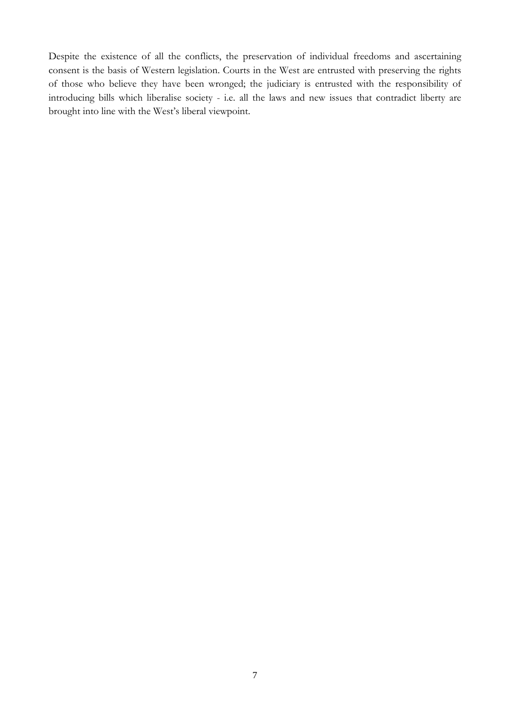Despite the existence of all the conflicts, the preservation of individual freedoms and ascertaining consent is the basis of Western legislation. Courts in the West are entrusted with preserving the rights of those who believe they have been wronged; the judiciary is entrusted with the responsibility of introducing bills which liberalise society - i.e. all the laws and new issues that contradict liberty are brought into line with the West's liberal viewpoint.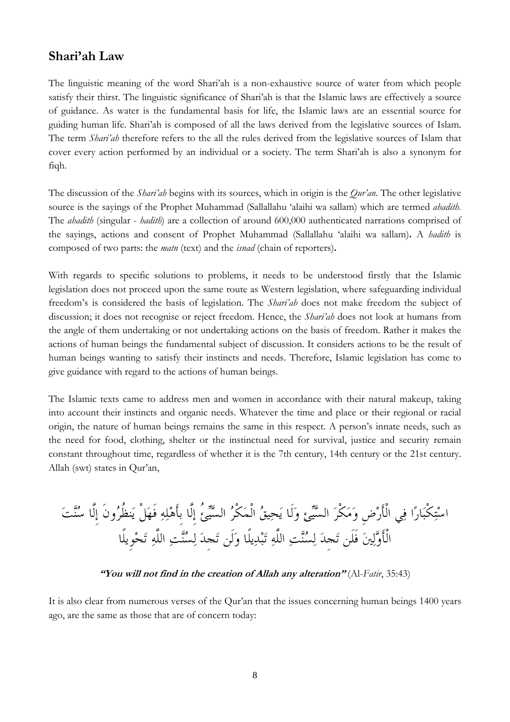# **Shari'ah Law**

The linguistic meaning of the word Shari'ah is a non-exhaustive source of water from which people satisfy their thirst. The linguistic significance of Shari'ah is that the Islamic laws are effectively a source of guidance. As water is the fundamental basis for life, the Islamic laws are an essential source for guiding human life. Shari'ah is composed of all the laws derived from the legislative sources of Islam. The term *Shari'ah* therefore refers to the all the rules derived from the legislative sources of Islam that cover every action performed by an individual or a society. The term Shari'ah is also a synonym for fiqh.

The discussion of the *Shari'ah* begins with its sources, which in origin is the *Qur'an*. The other legislative source is the sayings of the Prophet Muhammad (Sallallahu 'alaihi wa sallam) which are termed *ahadith*. The *ahadith* (singular - *hadith*) are a collection of around 600,000 authenticated narrations comprised of the sayings, actions and consent of Prophet Muhammad (Sallallahu 'alaihi wa sallam)**.** A *hadith* is composed of two parts: the *matn* (text) and the *isnad* (chain of reporters)**.** 

With regards to specific solutions to problems, it needs to be understood firstly that the Islamic legislation does not proceed upon the same route as Western legislation, where safeguarding individual freedom's is considered the basis of legislation. The *Shari'ah* does not make freedom the subject of discussion; it does not recognise or reject freedom. Hence, the *Shari'ah* does not look at humans from the angle of them undertaking or not undertaking actions on the basis of freedom. Rather it makes the actions of human beings the fundamental subject of discussion. It considers actions to be the result of human beings wanting to satisfy their instincts and needs. Therefore, Islamic legislation has come to give guidance with regard to the actions of human beings.

The Islamic texts came to address men and women in accordance with their natural makeup, taking into account their instincts and organic needs. Whatever the time and place or their regional or racial origin, the nature of human beings remains the same in this respect. A person's innate needs, such as the need for food, clothing, shelter or the instinctual need for survival, justice and security remain constant throughout time, regardless of whether it is the 7th century, 14th century or the 21st century. Allah (swt) states in Qur'an,

اسْتِكْبَارًا فِي الْأَرْضِ وَمَكْرَ السَّيِّئِ وَلَا يَحِيقُ الْمَكْرُ السَّيِّئُ إِلَّا بِأَهْلِهِ فَهَلْ يَنظُرُونَ إِلَّا سُنَّتَ الْأَوَّلِينَ فَلَن تَجِدَ لِسُنَّتِ اللَّهِ تَبْدِيلًا وَلَن تَجِدَ لِسُنَّتِ اللَّهِ تَحْوِيلًا

**"You will not find in the creation of Allah any alteration"** (Al-*Fatir*, 35:43)

It is also clear from numerous verses of the Qur'an that the issues concerning human beings 1400 years ago, are the same as those that are of concern today: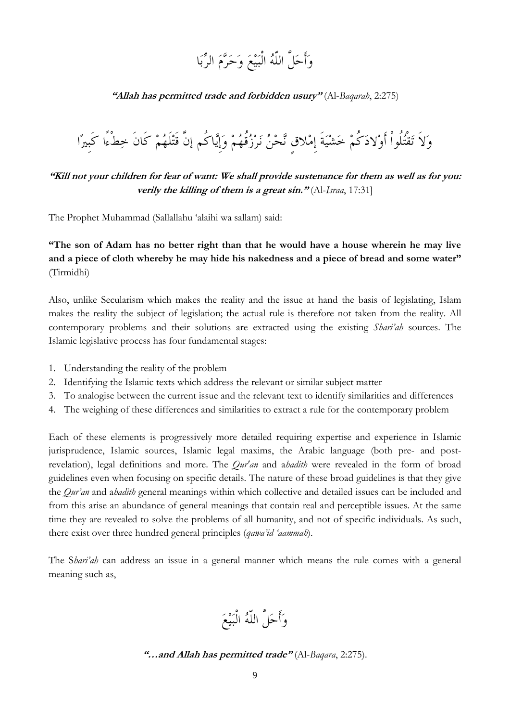وَأَحَلَّ اللّهُ الْبَيْعَ وَحَرَّمَ الرِّبَا

#### **"Allah has permitted trade and forbidden usury"** (Al-*Baqarah*, 2:275)

وَلاَ تَقْتُلُواْ أَوْلادَكُمْ خَشْيَةَ إِمْلاقٍ نَّحْنُ نَرْزُقُهُمْ وَإِيَّاكُم إنَّ قَتْلَهُمْ كَانَ خِطْءًا كَبِيرًا

## **"Kill not your children for fear of want: We shall provide sustenance for them as well as for you: verily the killing of them is a great sin."** (Al-*Israa*, 17:31]

The Prophet Muhammad (Sallallahu 'alaihi wa sallam) said:

**"The son of Adam has no better right than that he would have a house wherein he may live and a piece of cloth whereby he may hide his nakedness and a piece of bread and some water"** (Tirmidhi)

Also, unlike Secularism which makes the reality and the issue at hand the basis of legislating, Islam makes the reality the subject of legislation; the actual rule is therefore not taken from the reality. All contemporary problems and their solutions are extracted using the existing *Shari'ah* sources. The Islamic legislative process has four fundamental stages:

- 1. Understanding the reality of the problem
- 2. Identifying the Islamic texts which address the relevant or similar subject matter
- 3. To analogise between the current issue and the relevant text to identify similarities and differences
- 4. The weighing of these differences and similarities to extract a rule for the contemporary problem

Each of these elements is progressively more detailed requiring expertise and experience in Islamic jurisprudence, Islamic sources, Islamic legal maxims, the Arabic language (both pre- and postrevelation), legal definitions and more. The *Qur'an* and a*hadith* were revealed in the form of broad guidelines even when focusing on specific details. The nature of these broad guidelines is that they give the *Qur'an* and a*hadith* general meanings within which collective and detailed issues can be included and from this arise an abundance of general meanings that contain real and perceptible issues. At the same time they are revealed to solve the problems of all humanity, and not of specific individuals. As such, there exist over three hundred general principles (*qawa'id 'aammah*).

The S*hari'ah* can address an issue in a general manner which means the rule comes with a general meaning such as,

وَأَحَلَّ اللّهُ الْبَيْعَ

**"…and Allah has permitted trade"** (Al-*Baqara*, 2:275).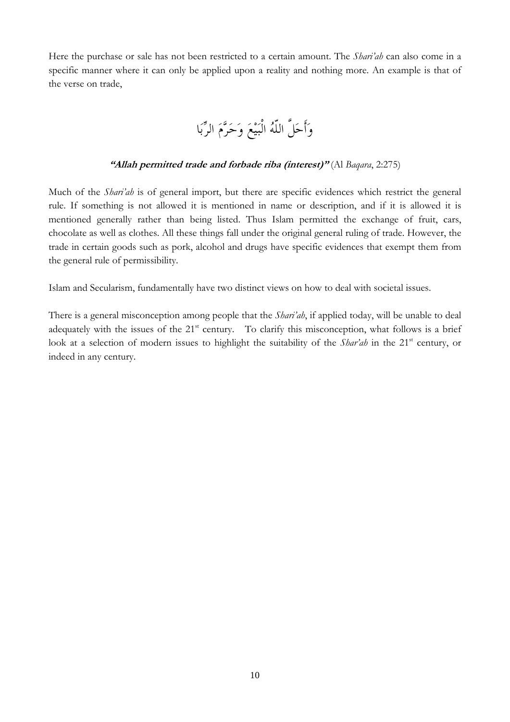Here the purchase or sale has not been restricted to a certain amount. The *Shari'ah* can also come in a specific manner where it can only be applied upon a reality and nothing more. An example is that of the verse on trade,

وَأَحَلَّ اللّهُ الْبَيْعَ وَحَرَّمَ الرِّبَا

### **"Allah permitted trade and forbade riba (interest)"** (Al *Baqara*, 2:275)

Much of the *Shari'ah* is of general import, but there are specific evidences which restrict the general rule. If something is not allowed it is mentioned in name or description, and if it is allowed it is mentioned generally rather than being listed. Thus Islam permitted the exchange of fruit, cars, chocolate as well as clothes. All these things fall under the original general ruling of trade. However, the trade in certain goods such as pork, alcohol and drugs have specific evidences that exempt them from the general rule of permissibility.

Islam and Secularism, fundamentally have two distinct views on how to deal with societal issues.

There is a general misconception among people that the *Shari'ah*, if applied today, will be unable to deal adequately with the issues of the 21<sup>st</sup> century. To clarify this misconception, what follows is a brief look at a selection of modern issues to highlight the suitability of the *Shar'ah* in the 21<sup>st</sup> century, or indeed in any century.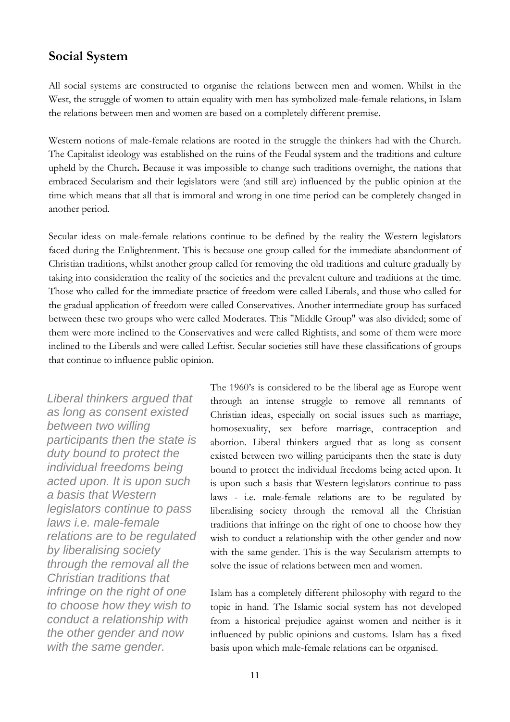## **Social System**

All social systems are constructed to organise the relations between men and women. Whilst in the West, the struggle of women to attain equality with men has symbolized male-female relations, in Islam the relations between men and women are based on a completely different premise.

Western notions of male-female relations are rooted in the struggle the thinkers had with the Church. The Capitalist ideology was established on the ruins of the Feudal system and the traditions and culture upheld by the Church**.** Because it was impossible to change such traditions overnight, the nations that embraced Secularism and their legislators were (and still are) influenced by the public opinion at the time which means that all that is immoral and wrong in one time period can be completely changed in another period.

Secular ideas on male-female relations continue to be defined by the reality the Western legislators faced during the Enlightenment. This is because one group called for the immediate abandonment of Christian traditions, whilst another group called for removing the old traditions and culture gradually by taking into consideration the reality of the societies and the prevalent culture and traditions at the time. Those who called for the immediate practice of freedom were called Liberals, and those who called for the gradual application of freedom were called Conservatives. Another intermediate group has surfaced between these two groups who were called Moderates. This "Middle Group" was also divided; some of them were more inclined to the Conservatives and were called Rightists, and some of them were more inclined to the Liberals and were called Leftist. Secular societies still have these classifications of groups that continue to influence public opinion.

*Liberal thinkers argued that as long as consent existed between two willing participants then the state is duty bound to protect the individual freedoms being acted upon. It is upon such a basis that Western legislators continue to pass laws i.e. male-female relations are to be regulated by liberalising society through the removal all the Christian traditions that infringe on the right of one to choose how they wish to conduct a relationship with the other gender and now with the same gender.* 

The 1960's is considered to be the liberal age as Europe went through an intense struggle to remove all remnants of Christian ideas, especially on social issues such as marriage, homosexuality, sex before marriage, contraception and abortion. Liberal thinkers argued that as long as consent existed between two willing participants then the state is duty bound to protect the individual freedoms being acted upon. It is upon such a basis that Western legislators continue to pass laws - i.e. male-female relations are to be regulated by liberalising society through the removal all the Christian traditions that infringe on the right of one to choose how they wish to conduct a relationship with the other gender and now with the same gender. This is the way Secularism attempts to solve the issue of relations between men and women.

Islam has a completely different philosophy with regard to the topic in hand. The Islamic social system has not developed from a historical prejudice against women and neither is it influenced by public opinions and customs. Islam has a fixed basis upon which male-female relations can be organised.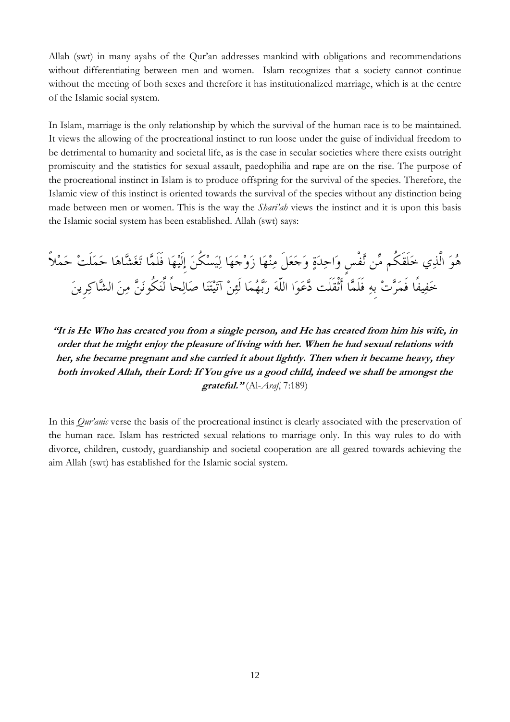Allah (swt) in many ayahs of the Qur'an addresses mankind with obligations and recommendations without differentiating between men and women. Islam recognizes that a society cannot continue without the meeting of both sexes and therefore it has institutionalized marriage, which is at the centre of the Islamic social system.

In Islam, marriage is the only relationship by which the survival of the human race is to be maintained. It views the allowing of the procreational instinct to run loose under the guise of individual freedom to be detrimental to humanity and societal life, as is the case in secular societies where there exists outright promiscuity and the statistics for sexual assault, paedophilia and rape are on the rise. The purpose of the procreational instinct in Islam is to produce offspring for the survival of the species. Therefore, the Islamic view of this instinct is oriented towards the survival of the species without any distinction being made between men or women. This is the way the *Shari'ah* views the instinct and it is upon this basis the Islamic social system has been established. Allah (swt) says:

هُوَ الَّذِي خَلَقَكُم مِّن نَّفْسٍ وَاحِدَةٍ وَجَعَلَ مِنْهَا زَوْجَهَا لِيَسْكُنَ إِلَيْهَا فَلَمَّا تَغَشَّاهَا حَمَلَتْ حَمْلاً خَفِيفًا فَمَرَّتْ بِهِ فَلَمَّا أَثْقَلَت دَّعَوَا اللّهَ رَبَّهُمَا لَئِنْ آتَيْتَنَا صَالِحاً لَّنَكُونَنَّ مِنَ الشَّاكِرِينَ

**"It is He Who has created you from a single person, and He has created from him his wife, in order that he might enjoy the pleasure of living with her. When he had sexual relations with her, she became pregnant and she carried it about lightly. Then when it became heavy, they both invoked Allah, their Lord: If You give us a good child, indeed we shall be amongst the grateful."** (Al-*Araf*, 7:189)

In this *Qur'anic* verse the basis of the procreational instinct is clearly associated with the preservation of the human race. Islam has restricted sexual relations to marriage only. In this way rules to do with divorce, children, custody, guardianship and societal cooperation are all geared towards achieving the aim Allah (swt) has established for the Islamic social system.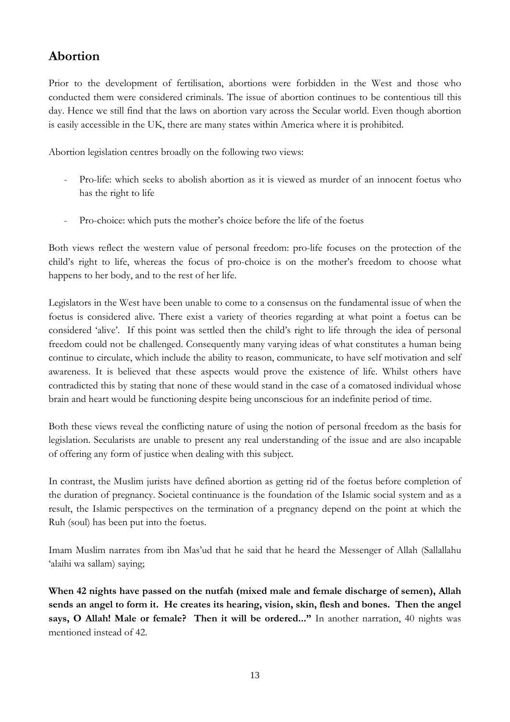# **Abortion**

Prior to the development of fertilisation, abortions were forbidden in the West and those who conducted them were considered criminals. The issue of abortion continues to be contentious till this day. Hence we still find that the laws on abortion vary across the Secular world. Even though abortion is easily accessible in the UK, there are many states within America where it is prohibited.

Abortion legislation centres broadly on the following two views:

- Pro-life: which seeks to abolish abortion as it is viewed as murder of an innocent foetus who has the right to life
- Pro-choice: which puts the mother's choice before the life of the foetus

Both views reflect the western value of personal freedom: pro-life focuses on the protection of the child's right to life, whereas the focus of pro-choice is on the mother's freedom to choose what happens to her body, and to the rest of her life.

Legislators in the West have been unable to come to a consensus on the fundamental issue of when the foetus is considered alive. There exist a variety of theories regarding at what point a foetus can be considered 'alive'. If this point was settled then the child's right to life through the idea of personal freedom could not be challenged. Consequently many varying ideas of what constitutes a human being continue to circulate, which include the ability to reason, communicate, to have self motivation and self awareness. It is believed that these aspects would prove the existence of life. Whilst others have contradicted this by stating that none of these would stand in the case of a comatosed individual whose brain and heart would be functioning despite being unconscious for an indefinite period of time.

Both these views reveal the conflicting nature of using the notion of personal freedom as the basis for legislation. Secularists are unable to present any real understanding of the issue and are also incapable of offering any form of justice when dealing with this subject.

In contrast, the Muslim jurists have defined abortion as getting rid of the foetus before completion of the duration of pregnancy. Societal continuance is the foundation of the Islamic social system and as a result, the Islamic perspectives on the termination of a pregnancy depend on the point at which the Ruh (soul) has been put into the foetus.

Imam Muslim narrates from ibn Mas'ud that he said that he heard the Messenger of Allah (Sallallahu 'alaihi wa sallam) saying;

**When 42 nights have passed on the nutfah (mixed male and female discharge of semen), Allah sends an angel to form it. He creates its hearing, vision, skin, flesh and bones. Then the angel says, O Allah! Male or female? Then it will be ordered..."** In another narration, 40 nights was mentioned instead of 42.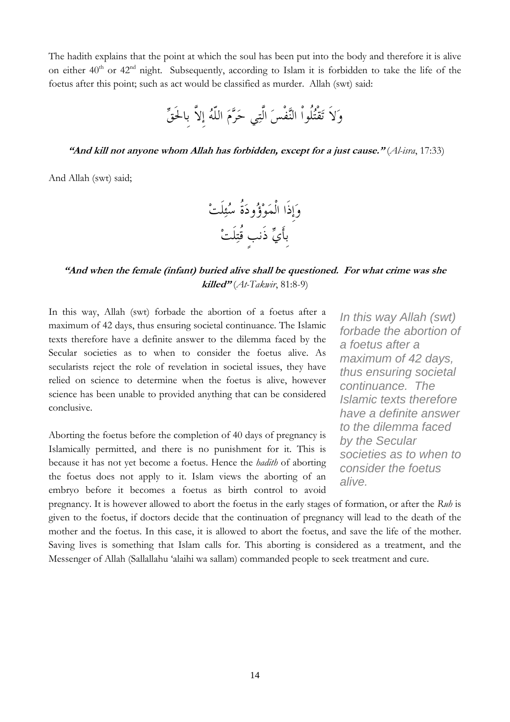The hadith explains that the point at which the soul has been put into the body and therefore it is alive on either  $40<sup>th</sup>$  or  $42<sup>nd</sup>$  night. Subsequently, according to Islam it is forbidden to take the life of the foetus after this point; such as act would be classified as murder. Allah (swt) said:

وَلاَ تَقْتُلُواْ النَّفْسَ الَّتِي حَرَّمَ اللّهُ إِلاَّ بِالحَقِّ

 **"And kill not anyone whom Allah has forbidden, except for a just cause."** (*Al-isra*, 17:33)

And Allah (swt) said;



## **"And when the female (infant) buried alive shall be questioned. For what crime was she killed"** (*At-Takwir*, 81:8-9)

In this way, Allah (swt) forbade the abortion of a foetus after a maximum of 42 days, thus ensuring societal continuance. The Islamic texts therefore have a definite answer to the dilemma faced by the Secular societies as to when to consider the foetus alive. As secularists reject the role of revelation in societal issues, they have relied on science to determine when the foetus is alive, however science has been unable to provided anything that can be considered conclusive.

Aborting the foetus before the completion of 40 days of pregnancy is Islamically permitted, and there is no punishment for it. This is because it has not yet become a foetus. Hence the *hadith* of aborting the foetus does not apply to it. Islam views the aborting of an embryo before it becomes a foetus as birth control to avoid

*In this way Allah (swt) forbade the abortion of a foetus after a maximum of 42 days, thus ensuring societal continuance. The Islamic texts therefore have a definite answer to the dilemma faced by the Secular societies as to when to consider the foetus alive.* 

pregnancy. It is however allowed to abort the foetus in the early stages of formation, or after the *Ruh* is given to the foetus, if doctors decide that the continuation of pregnancy will lead to the death of the mother and the foetus. In this case, it is allowed to abort the foetus, and save the life of the mother. Saving lives is something that Islam calls for. This aborting is considered as a treatment, and the Messenger of Allah (Sallallahu 'alaihi wa sallam) commanded people to seek treatment and cure.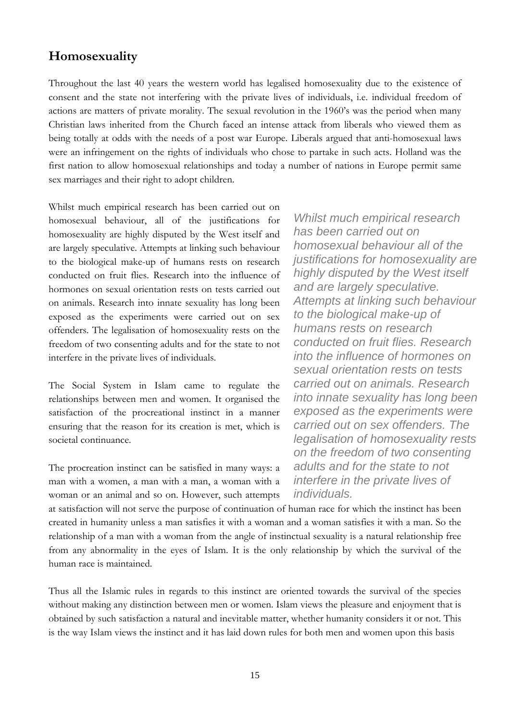## **Homosexuality**

Throughout the last 40 years the western world has legalised homosexuality due to the existence of consent and the state not interfering with the private lives of individuals, i.e. individual freedom of actions are matters of private morality. The sexual revolution in the 1960's was the period when many Christian laws inherited from the Church faced an intense attack from liberals who viewed them as being totally at odds with the needs of a post war Europe. Liberals argued that anti-homosexual laws were an infringement on the rights of individuals who chose to partake in such acts. Holland was the first nation to allow homosexual relationships and today a number of nations in Europe permit same sex marriages and their right to adopt children.

Whilst much empirical research has been carried out on homosexual behaviour, all of the justifications for homosexuality are highly disputed by the West itself and are largely speculative. Attempts at linking such behaviour to the biological make-up of humans rests on research conducted on fruit flies. Research into the influence of hormones on sexual orientation rests on tests carried out on animals. Research into innate sexuality has long been exposed as the experiments were carried out on sex offenders. The legalisation of homosexuality rests on the freedom of two consenting adults and for the state to not interfere in the private lives of individuals.

The Social System in Islam came to regulate the relationships between men and women. It organised the satisfaction of the procreational instinct in a manner ensuring that the reason for its creation is met, which is societal continuance.

The procreation instinct can be satisfied in many ways: a man with a women, a man with a man, a woman with a woman or an animal and so on. However, such attempts

*Whilst much empirical research has been carried out on homosexual behaviour all of the justifications for homosexuality are highly disputed by the West itself and are largely speculative. Attempts at linking such behaviour to the biological make-up of humans rests on research conducted on fruit flies. Research into the influence of hormones on sexual orientation rests on tests carried out on animals. Research into innate sexuality has long been exposed as the experiments were carried out on sex offenders. The legalisation of homosexuality rests on the freedom of two consenting adults and for the state to not interfere in the private lives of individuals.*

at satisfaction will not serve the purpose of continuation of human race for which the instinct has been created in humanity unless a man satisfies it with a woman and a woman satisfies it with a man. So the relationship of a man with a woman from the angle of instinctual sexuality is a natural relationship free from any abnormality in the eyes of Islam. It is the only relationship by which the survival of the human race is maintained.

Thus all the Islamic rules in regards to this instinct are oriented towards the survival of the species without making any distinction between men or women. Islam views the pleasure and enjoyment that is obtained by such satisfaction a natural and inevitable matter, whether humanity considers it or not. This is the way Islam views the instinct and it has laid down rules for both men and women upon this basis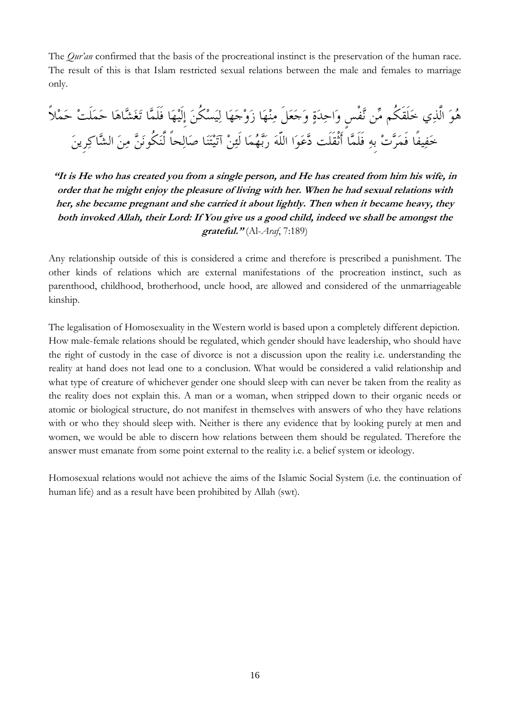The *Qur'an* confirmed that the basis of the procreational instinct is the preservation of the human race. The result of this is that Islam restricted sexual relations between the male and females to marriage only.

هُوَ الَّذِي خَلَقَكُم مِّن نَّفْسٍ وَاحِدَةٍ وَجَعَلَ مِنْهَا زَوْجَهَا لِيَسْكُنَ إِلَيْهَا فَلَمَّا تَغَشَّاهَا حَمَلَتْ حَمْلاً خَفِيفًا فَمَرَّتْ بِهِ فَلَمَّا أَثْقَلَت دَّعَوَا اللّهَ رَبَّهُمَا لَئِنْ آتَيْتَنَا صَالِحاً لَّنَكُونَنَّ مِنَ الشَّاكِرِينَ

**"It is He who has created you from a single person, and He has created from him his wife, in order that he might enjoy the pleasure of living with her. When he had sexual relations with her, she became pregnant and she carried it about lightly. Then when it became heavy, they both invoked Allah, their Lord: If You give us a good child, indeed we shall be amongst the grateful."** (Al-*Araf*, 7:189)

Any relationship outside of this is considered a crime and therefore is prescribed a punishment. The other kinds of relations which are external manifestations of the procreation instinct, such as parenthood, childhood, brotherhood, uncle hood, are allowed and considered of the unmarriageable kinship.

The legalisation of Homosexuality in the Western world is based upon a completely different depiction. How male-female relations should be regulated, which gender should have leadership, who should have the right of custody in the case of divorce is not a discussion upon the reality i.e. understanding the reality at hand does not lead one to a conclusion. What would be considered a valid relationship and what type of creature of whichever gender one should sleep with can never be taken from the reality as the reality does not explain this. A man or a woman, when stripped down to their organic needs or atomic or biological structure, do not manifest in themselves with answers of who they have relations with or who they should sleep with. Neither is there any evidence that by looking purely at men and women, we would be able to discern how relations between them should be regulated. Therefore the answer must emanate from some point external to the reality i.e. a belief system or ideology.

Homosexual relations would not achieve the aims of the Islamic Social System (i.e. the continuation of human life) and as a result have been prohibited by Allah (swt).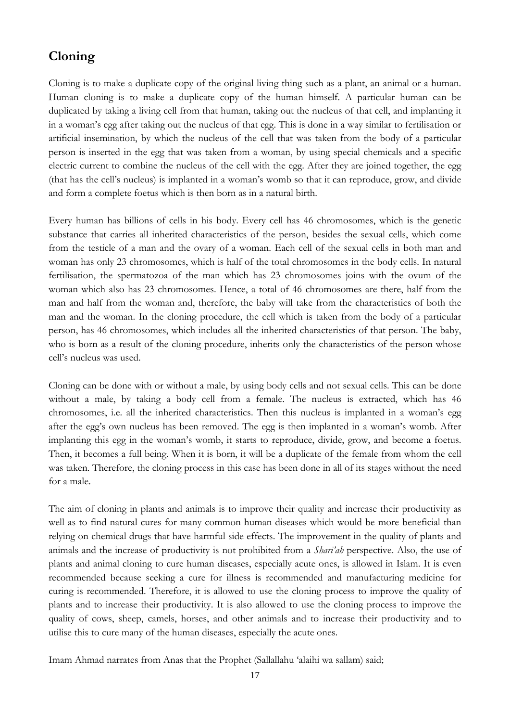# **Cloning**

Cloning is to make a duplicate copy of the original living thing such as a plant, an animal or a human. Human cloning is to make a duplicate copy of the human himself. A particular human can be duplicated by taking a living cell from that human, taking out the nucleus of that cell, and implanting it in a woman's egg after taking out the nucleus of that egg. This is done in a way similar to fertilisation or artificial insemination, by which the nucleus of the cell that was taken from the body of a particular person is inserted in the egg that was taken from a woman, by using special chemicals and a specific electric current to combine the nucleus of the cell with the egg. After they are joined together, the egg (that has the cell's nucleus) is implanted in a woman's womb so that it can reproduce, grow, and divide and form a complete foetus which is then born as in a natural birth.

Every human has billions of cells in his body. Every cell has 46 chromosomes, which is the genetic substance that carries all inherited characteristics of the person, besides the sexual cells, which come from the testicle of a man and the ovary of a woman. Each cell of the sexual cells in both man and woman has only 23 chromosomes, which is half of the total chromosomes in the body cells. In natural fertilisation, the spermatozoa of the man which has 23 chromosomes joins with the ovum of the woman which also has 23 chromosomes. Hence, a total of 46 chromosomes are there, half from the man and half from the woman and, therefore, the baby will take from the characteristics of both the man and the woman. In the cloning procedure, the cell which is taken from the body of a particular person, has 46 chromosomes, which includes all the inherited characteristics of that person. The baby, who is born as a result of the cloning procedure, inherits only the characteristics of the person whose cell's nucleus was used.

Cloning can be done with or without a male, by using body cells and not sexual cells. This can be done without a male, by taking a body cell from a female. The nucleus is extracted, which has 46 chromosomes, i.e. all the inherited characteristics. Then this nucleus is implanted in a woman's egg after the egg's own nucleus has been removed. The egg is then implanted in a woman's womb. After implanting this egg in the woman's womb, it starts to reproduce, divide, grow, and become a foetus. Then, it becomes a full being. When it is born, it will be a duplicate of the female from whom the cell was taken. Therefore, the cloning process in this case has been done in all of its stages without the need for a male.

The aim of cloning in plants and animals is to improve their quality and increase their productivity as well as to find natural cures for many common human diseases which would be more beneficial than relying on chemical drugs that have harmful side effects. The improvement in the quality of plants and animals and the increase of productivity is not prohibited from a *Shari'ah* perspective. Also, the use of plants and animal cloning to cure human diseases, especially acute ones, is allowed in Islam. It is even recommended because seeking a cure for illness is recommended and manufacturing medicine for curing is recommended. Therefore, it is allowed to use the cloning process to improve the quality of plants and to increase their productivity. It is also allowed to use the cloning process to improve the quality of cows, sheep, camels, horses, and other animals and to increase their productivity and to utilise this to cure many of the human diseases, especially the acute ones.

Imam Ahmad narrates from Anas that the Prophet (Sallallahu 'alaihi wa sallam) said;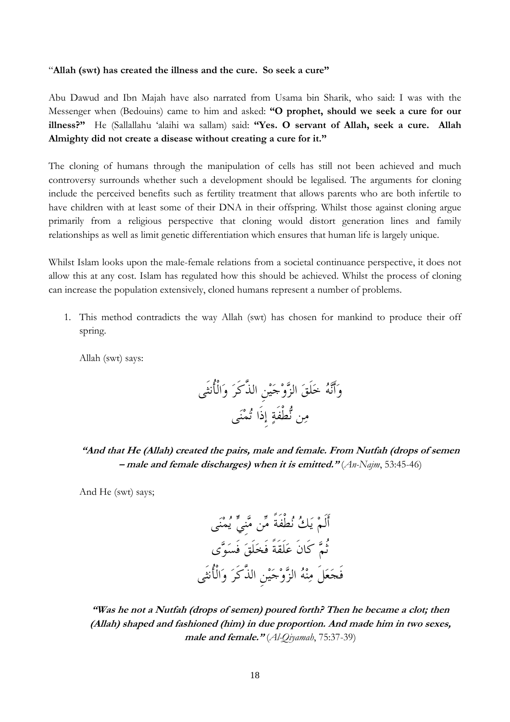#### "**Allah (swt) has created the illness and the cure. So seek a cure"**

Abu Dawud and Ibn Majah have also narrated from Usama bin Sharik, who said: I was with the Messenger when (Bedouins) came to him and asked: **"O prophet, should we seek a cure for our illness?"** He (Sallallahu 'alaihi wa sallam) said: **"Yes. O servant of Allah, seek a cure. Allah Almighty did not create a disease without creating a cure for it."**

The cloning of humans through the manipulation of cells has still not been achieved and much controversy surrounds whether such a development should be legalised. The arguments for cloning include the perceived benefits such as fertility treatment that allows parents who are both infertile to have children with at least some of their DNA in their offspring. Whilst those against cloning argue primarily from a religious perspective that cloning would distort generation lines and family relationships as well as limit genetic differentiation which ensures that human life is largely unique.

Whilst Islam looks upon the male-female relations from a societal continuance perspective, it does not allow this at any cost. Islam has regulated how this should be achieved. Whilst the process of cloning can increase the population extensively, cloned humans represent a number of problems.

1. This method contradicts the way Allah (swt) has chosen for mankind to produce their off spring.

Allah (swt) says:

وَأَنَّهُ خَلَقَ الزَّوْجَيْنِ الذَّكَرَ وَالْأُنثَى مِن نُّطْفَةٍ إِذَا تُمْنَى

**"And that He (Allah) created the pairs, male and female. From Nutfah (drops of semen – male and female discharges) when it is emitted."** (*An-Najm*, 53:45-46)

And He (swt) says;

أَلَمْ يَكُ نُطْفَةً مِّن مَّنِيٍّ يُمْنَى ثُمَّ كَانَ عَلَقَةً فَخَلَقَ فَسَوَّى فَجَعَلَ مِنْهُ الزَّوْجَيْنِ الذَّكَرَ وَالْأُنثَى

**"Was he not a Nutfah (drops of semen) poured forth? Then he became a clot; then (Allah) shaped and fashioned (him) in due proportion. And made him in two sexes, male and female."** (*Al-Qiyamah*, 75:37-39)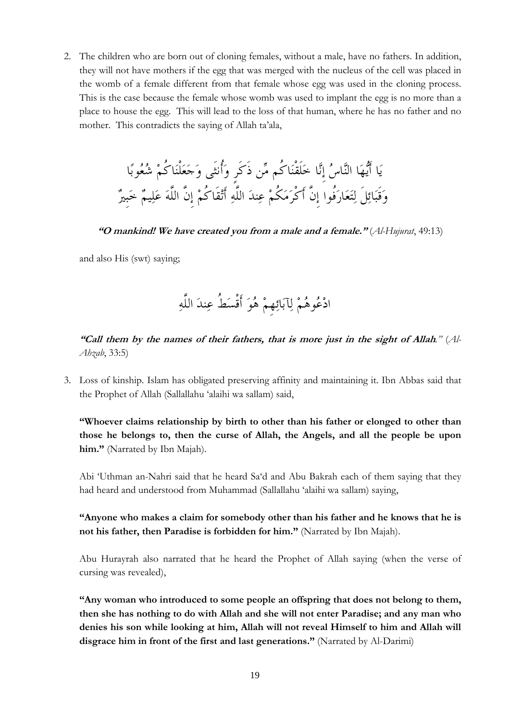2. The children who are born out of cloning females, without a male, have no fathers. In addition, they will not have mothers if the egg that was merged with the nucleus of the cell was placed in the womb of a female different from that female whose egg was used in the cloning process. This is the case because the female whose womb was used to implant the egg is no more than a place to house the egg. This will lead to the loss of that human, where he has no father and no mother. This contradicts the saying of Allah ta'ala,

يَا أَيُّهَا النَّاسُ إِنَّا خَلَقْنَاكُم مِّن ذَكَرٍ وَأُنثَى وَجَعَلْنَاكُمْ شُعُوبًا وَقَبَائِلَ لِتَعَارَفُوا إِنَّ أَكْرَمَكُمْ عِندَ اللَّهِ أَتْقَاكُمْ إِنَّ اللَّهَ عَلِيمٌ خَبِيرٌ

**"O mankind! We have created you from a male and a female."** (*Al-Hujurat*, 49:13)

and also His (swt) saying;

ادْعُوهُمْ لِآبَائِهِمْ هُوَ أَقْسَطُ عِندَ اللَّهِ

**"Call them by the names of their fathers, that is more just in the sight of Allah***."* (*Al-Ahzab*, 33:5)

3. Loss of kinship. Islam has obligated preserving affinity and maintaining it. Ibn Abbas said that the Prophet of Allah (Sallallahu 'alaihi wa sallam) said,

**"Whoever claims relationship by birth to other than his father or elonged to other than those he belongs to, then the curse of Allah, the Angels, and all the people be upon him."** (Narrated by Ibn Majah).

Abi 'Uthman an-Nahri said that he heard Sa'd and Abu Bakrah each of them saying that they had heard and understood from Muhammad (Sallallahu 'alaihi wa sallam) saying,

**"Anyone who makes a claim for somebody other than his father and he knows that he is not his father, then Paradise is forbidden for him."** (Narrated by Ibn Majah).

Abu Hurayrah also narrated that he heard the Prophet of Allah saying (when the verse of cursing was revealed),

**"Any woman who introduced to some people an offspring that does not belong to them, then she has nothing to do with Allah and she will not enter Paradise; and any man who denies his son while looking at him, Allah will not reveal Himself to him and Allah will disgrace him in front of the first and last generations."** (Narrated by Al-Darimi)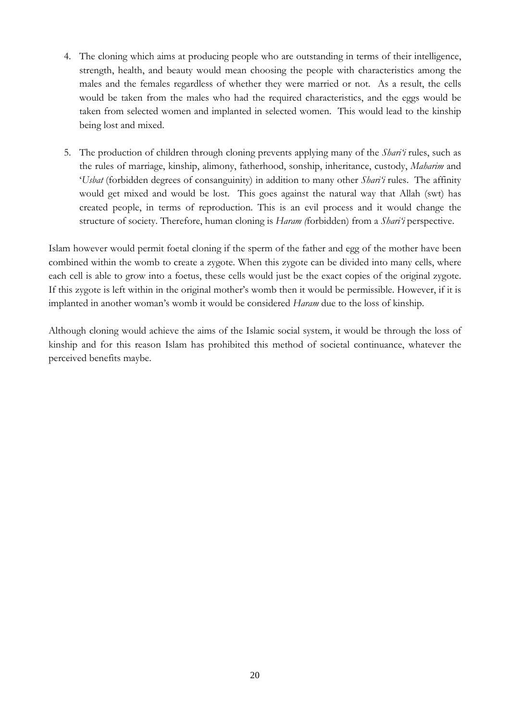- 4. The cloning which aims at producing people who are outstanding in terms of their intelligence, strength, health, and beauty would mean choosing the people with characteristics among the males and the females regardless of whether they were married or not. As a result, the cells would be taken from the males who had the required characteristics, and the eggs would be taken from selected women and implanted in selected women. This would lead to the kinship being lost and mixed.
- 5. The production of children through cloning prevents applying many of the *Shari'i* rules, such as the rules of marriage, kinship, alimony, fatherhood, sonship, inheritance, custody, *Maharim* and '*Usbat* (forbidden degrees of consanguinity) in addition to many other *Shari'i* rules. The affinity would get mixed and would be lost. This goes against the natural way that Allah (swt) has created people, in terms of reproduction. This is an evil process and it would change the structure of society. Therefore, human cloning is *Haram (*forbidden) from a *Shari'i* perspective.

Islam however would permit foetal cloning if the sperm of the father and egg of the mother have been combined within the womb to create a zygote. When this zygote can be divided into many cells, where each cell is able to grow into a foetus, these cells would just be the exact copies of the original zygote. If this zygote is left within in the original mother's womb then it would be permissible. However, if it is implanted in another woman's womb it would be considered *Haram* due to the loss of kinship.

Although cloning would achieve the aims of the Islamic social system, it would be through the loss of kinship and for this reason Islam has prohibited this method of societal continuance, whatever the perceived benefits maybe.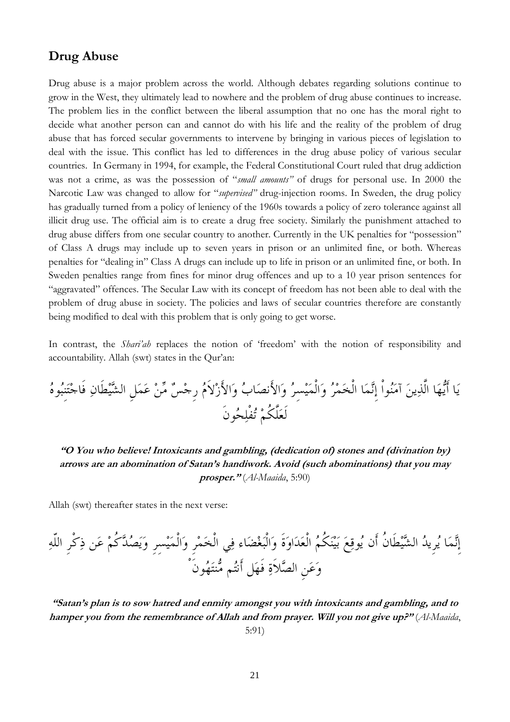## **Drug Abuse**

Drug abuse is a major problem across the world. Although debates regarding solutions continue to grow in the West, they ultimately lead to nowhere and the problem of drug abuse continues to increase. The problem lies in the conflict between the liberal assumption that no one has the moral right to decide what another person can and cannot do with his life and the reality of the problem of drug abuse that has forced secular governments to intervene by bringing in various pieces of legislation to deal with the issue. This conflict has led to differences in the drug abuse policy of various secular countries. In Germany in 1994, for example, the Federal Constitutional Court ruled that drug addiction was not a crime, as was the possession of "*small amounts"* of drugs for personal use. In 2000 the Narcotic Law was changed to allow for "*supervised"* drug-injection rooms. In Sweden, the drug policy has gradually turned from a policy of leniency of the 1960s towards a policy of zero tolerance against all illicit drug use. The official aim is to create a drug free society. Similarly the punishment attached to drug abuse differs from one secular country to another. Currently in the UK penalties for "possession" of Class A drugs may include up to seven years in prison or an unlimited fine, or both. Whereas penalties for "dealing in" Class A drugs can include up to life in prison or an unlimited fine, or both. In Sweden penalties range from fines for minor drug offences and up to a 10 year prison sentences for "aggravated" offences. The Secular Law with its concept of freedom has not been able to deal with the problem of drug abuse in society. The policies and laws of secular countries therefore are constantly being modified to deal with this problem that is only going to get worse.

In contrast, the *Shari'ah* replaces the notion of 'freedom' with the notion of responsibility and accountability. Allah (swt) states in the Qur'an:

يَا أَيُّهَا الَّذِينَ آمَنُواْ إِنَّمَا الْخَمْرُ وَالْمَيْسِرُ وَالأَنصَابُ وَالأَزْلاَمُ رِجْسٌ مِّنْ عَمَلِ الشَّيْطَانِ فَاجْتَنِبُوهُ لَعَلَّكُمْ تُفْلِحُونَ

**"O You who believe! Intoxicants and gambling, (dedication of) stones and (divination by) arrows are an abomination of Satan's handiwork. Avoid (such abominations) that you may prosper."** (*Al-Maaida*, 5:90)

Allah (swt) thereafter states in the next verse:

إِنَّمَا يُرِيدُ الشَّيْطَانُ أَن يُوقِعَ بَيْنَكُمُ الْعَدَاوَةَ وَالْبَغْضَاء فِي الْخَمْرِ وَالْمَيْسِرِ وَيَصُدَّكُمْ عَن ذِكْرِ اللّهِ وَعَنِ الصَّلاَةِ فَهَل أَنتُم مُّنتَهُونَْ

**"Satan's plan is to sow hatred and enmity amongst you with intoxicants and gambling, and to hamper you from the remembrance of Allah and from prayer. Will you not give up?"** (*Al-Maaida*, 5:91)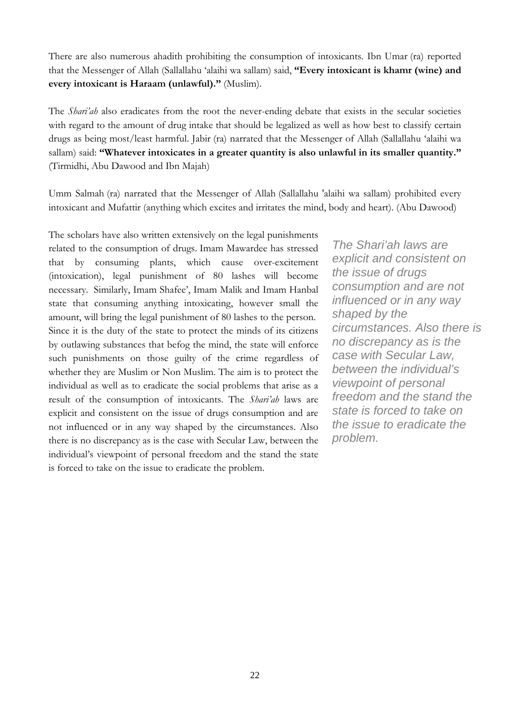There are also numerous ahadith prohibiting the consumption of intoxicants. Ibn Umar (ra) reported that the Messenger of Allah (Sallallahu 'alaihi wa sallam) said, **"Every intoxicant is khamr (wine) and every intoxicant is Haraam (unlawful)."** (Muslim).

The *Shari'ah* also eradicates from the root the never-ending debate that exists in the secular societies with regard to the amount of drug intake that should be legalized as well as how best to classify certain drugs as being most/least harmful. Jabir (ra) narrated that the Messenger of Allah (Sallallahu 'alaihi wa sallam) said: **"Whatever intoxicates in a greater quantity is also unlawful in its smaller quantity."** (Tirmidhi, Abu Dawood and Ibn Majah)

Umm Salmah (ra) narrated that the Messenger of Allah (Sallallahu 'alaihi wa sallam) prohibited every intoxicant and Mufattir (anything which excites and irritates the mind, body and heart). (Abu Dawood)

The scholars have also written extensively on the legal punishments related to the consumption of drugs. Imam Mawardee has stressed that by consuming plants, which cause over-excitement (intoxication), legal punishment of 80 lashes will become necessary. Similarly, Imam Shafee', Imam Malik and Imam Hanbal state that consuming anything intoxicating, however small the amount, will bring the legal punishment of 80 lashes to the person. Since it is the duty of the state to protect the minds of its citizens by outlawing substances that befog the mind, the state will enforce such punishments on those guilty of the crime regardless of whether they are Muslim or Non Muslim. The aim is to protect the individual as well as to eradicate the social problems that arise as a result of the consumption of intoxicants. The *Shari'ah* laws are explicit and consistent on the issue of drugs consumption and are not influenced or in any way shaped by the circumstances. Also there is no discrepancy as is the case with Secular Law, between the individual's viewpoint of personal freedom and the stand the state is forced to take on the issue to eradicate the problem.

*The Shari'ah laws are explicit and consistent on the issue of drugs consumption and are not influenced or in any way shaped by the circumstances. Also there is no discrepancy as is the case with Secular Law, between the individual's viewpoint of personal freedom and the stand the state is forced to take on the issue to eradicate the problem.*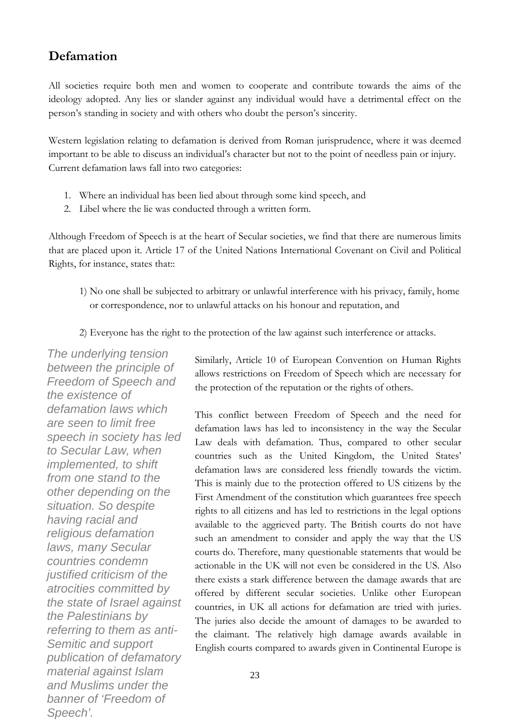# **Defamation**

All societies require both men and women to cooperate and contribute towards the aims of the ideology adopted. Any lies or slander against any individual would have a detrimental effect on the person's standing in society and with others who doubt the person's sincerity.

Western legislation relating to defamation is derived from Roman jurisprudence, where it was deemed important to be able to discuss an individual's character but not to the point of needless pain or injury. Current defamation laws fall into two categories:

- 1. Where an individual has been lied about through some kind speech, and
- 2. Libel where the lie was conducted through a written form.

Although Freedom of Speech is at the heart of Secular societies, we find that there are numerous limits that are placed upon it. Article 17 of the United Nations International Covenant on Civil and Political Rights, for instance, states that::

- 1) No one shall be subjected to arbitrary or unlawful interference with his privacy, family, home or correspondence, nor to unlawful attacks on his honour and reputation, and
- 2) Everyone has the right to the protection of the law against such interference or attacks.

*The underlying tension between the principle of Freedom of Speech and the existence of defamation laws which are seen to limit free speech in society has led to Secular Law, when implemented, to shift from one stand to the other depending on the situation. So despite having racial and religious defamation laws, many Secular countries condemn justified criticism of the atrocities committed by the state of Israel against the Palestinians by referring to them as anti-Semitic and support publication of defamatory material against Islam and Muslims under the banner of 'Freedom of Speech'.* 

Similarly, Article 10 of European Convention on Human Rights allows restrictions on Freedom of Speech which are necessary for the protection of the reputation or the rights of others.

This conflict between Freedom of Speech and the need for defamation laws has led to inconsistency in the way the Secular Law deals with defamation. Thus, compared to other secular countries such as the United Kingdom, the United States' defamation laws are considered less friendly towards the victim. This is mainly due to the protection offered to US citizens by the First Amendment of the constitution which guarantees free speech rights to all citizens and has led to restrictions in the legal options available to the aggrieved party. The British courts do not have such an amendment to consider and apply the way that the US courts do. Therefore, many questionable statements that would be actionable in the UK will not even be considered in the US. Also there exists a stark difference between the damage awards that are offered by different secular societies. Unlike other European countries, in UK all actions for defamation are tried with juries. The juries also decide the amount of damages to be awarded to the claimant. The relatively high damage awards available in English courts compared to awards given in Continental Europe is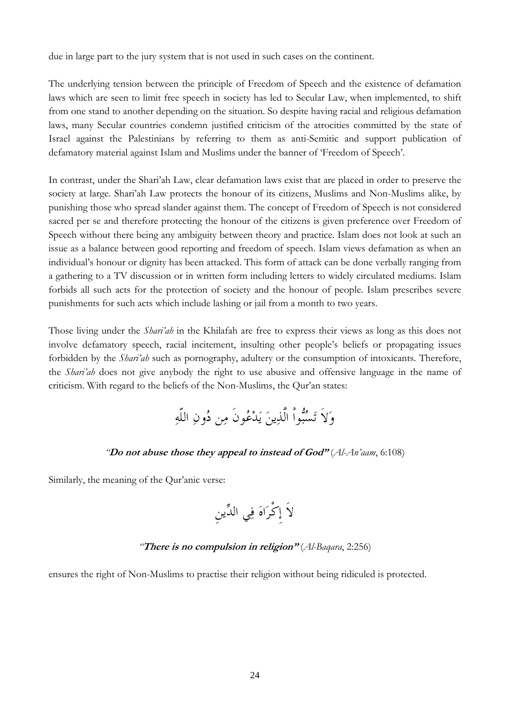due in large part to the jury system that is not used in such cases on the continent.

The underlying tension between the principle of Freedom of Speech and the existence of defamation laws which are seen to limit free speech in society has led to Secular Law, when implemented, to shift from one stand to another depending on the situation. So despite having racial and religious defamation laws, many Secular countries condemn justified criticism of the atrocities committed by the state of Israel against the Palestinians by referring to them as anti-Semitic and support publication of defamatory material against Islam and Muslims under the banner of 'Freedom of Speech'.

In contrast, under the Shari'ah Law, clear defamation laws exist that are placed in order to preserve the society at large. Shari'ah Law protects the honour of its citizens, Muslims and Non-Muslims alike, by punishing those who spread slander against them. The concept of Freedom of Speech is not considered sacred per se and therefore protecting the honour of the citizens is given preference over Freedom of Speech without there being any ambiguity between theory and practice. Islam does not look at such an issue as a balance between good reporting and freedom of speech. Islam views defamation as when an individual's honour or dignity has been attacked. This form of attack can be done verbally ranging from a gathering to a TV discussion or in written form including letters to widely circulated mediums. Islam forbids all such acts for the protection of society and the honour of people. Islam prescribes severe punishments for such acts which include lashing or jail from a month to two years.

Those living under the *Shari'ah* in the Khilafah are free to express their views as long as this does not involve defamatory speech, racial incitement, insulting other people's beliefs or propagating issues forbidden by the *Shari'ah* such as pornography, adultery or the consumption of intoxicants. Therefore, the *Shari'ah* does not give anybody the right to use abusive and offensive language in the name of criticism. With regard to the beliefs of the Non-Muslims, the Qur'an states:

وَلاَ تَسُبُّواْ الَّذِينَ يَدْعُونَ مِن دُونِ اللّهِ

#### *"***Do not abuse those they appeal to instead of God"** (*Al-An'aam*, 6:108)

Similarly, the meaning of the Qur'anic verse:

لاَ إِكْرَاهَ فِي الدِّينِ

#### *"***There is no compulsion in religion"** (*Al-Baqara*, 2:256)

ensures the right of Non-Muslims to practise their religion without being ridiculed is protected.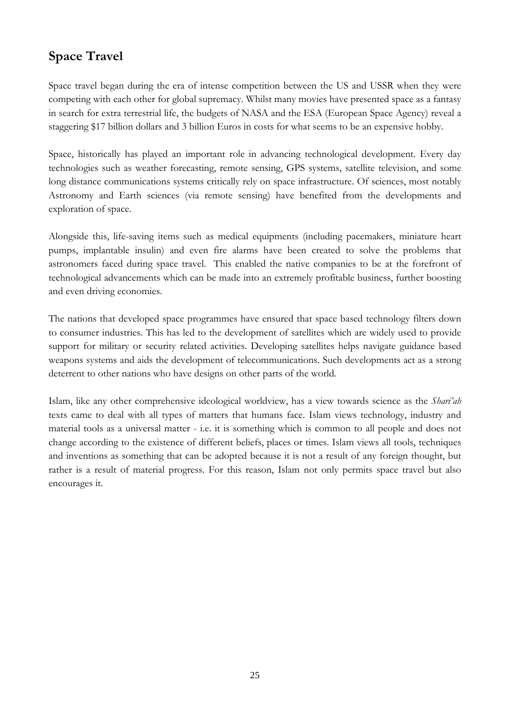# **Space Travel**

Space travel began during the era of intense competition between the US and USSR when they were competing with each other for global supremacy. Whilst many movies have presented space as a fantasy in search for extra terrestrial life, the budgets of NASA and the ESA (European Space Agency) reveal a staggering \$17 billion dollars and 3 billion Euros in costs for what seems to be an expensive hobby.

Space, historically has played an important role in advancing technological development. Every day technologies such as weather forecasting, remote sensing, GPS systems, satellite television, and some long distance communications systems critically rely on space infrastructure. Of sciences, most notably Astronomy and Earth sciences (via remote sensing) have benefited from the developments and exploration of space.

Alongside this, life-saving items such as medical equipments (including pacemakers, miniature heart pumps, implantable insulin) and even fire alarms have been created to solve the problems that astronomers faced during space travel. This enabled the native companies to be at the forefront of technological advancements which can be made into an extremely profitable business, further boosting and even driving economies.

The nations that developed space programmes have ensured that space based technology filters down to consumer industries. This has led to the development of satellites which are widely used to provide support for military or security related activities. Developing satellites helps navigate guidance based weapons systems and aids the development of telecommunications. Such developments act as a strong deterrent to other nations who have designs on other parts of the world.

Islam, like any other comprehensive ideological worldview, has a view towards science as the *Shari'ah* texts came to deal with all types of matters that humans face. Islam views technology, industry and material tools as a universal matter - i.e. it is something which is common to all people and does not change according to the existence of different beliefs, places or times. Islam views all tools, techniques and inventions as something that can be adopted because it is not a result of any foreign thought, but rather is a result of material progress. For this reason, Islam not only permits space travel but also encourages it.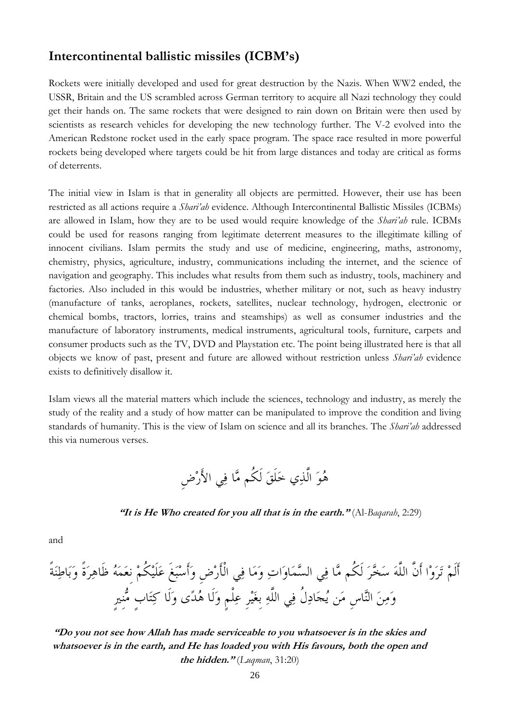## **Intercontinental ballistic missiles (ICBM's)**

Rockets were initially developed and used for great destruction by the Nazis. When WW2 ended, the USSR, Britain and the US scrambled across German territory to acquire all Nazi technology they could get their hands on. The same rockets that were designed to rain down on Britain were then used by scientists as research vehicles for developing the new technology further. The V-2 evolved into the American Redstone rocket used in the early space program. The space race resulted in more powerful rockets being developed where targets could be hit from large distances and today are critical as forms of deterrents.

The initial view in Islam is that in generality all objects are permitted. However, their use has been restricted as all actions require a *Shari'ah* evidence. Although Intercontinental Ballistic Missiles (ICBMs) are allowed in Islam, how they are to be used would require knowledge of the *Shari'ah* rule. ICBMs could be used for reasons ranging from legitimate deterrent measures to the illegitimate killing of innocent civilians. Islam permits the study and use of medicine, engineering, maths, astronomy, chemistry, physics, agriculture, industry, communications including the internet, and the science of navigation and geography. This includes what results from them such as industry, tools, machinery and factories. Also included in this would be industries, whether military or not, such as heavy industry (manufacture of tanks, aeroplanes, rockets, satellites, nuclear technology, hydrogen, electronic or chemical bombs, tractors, lorries, trains and steamships) as well as consumer industries and the manufacture of laboratory instruments, medical instruments, agricultural tools, furniture, carpets and consumer products such as the TV, DVD and Playstation etc. The point being illustrated here is that all objects we know of past, present and future are allowed without restriction unless *Shari'ah* evidence exists to definitively disallow it.

Islam views all the material matters which include the sciences, technology and industry, as merely the study of the reality and a study of how matter can be manipulated to improve the condition and living standards of humanity. This is the view of Islam on science and all its branches. The *Shari'ah* addressed this via numerous verses.

هُوَ الَّذِي خَلَقَ لَكُم مَّا فِي الأَرْضِ

**"It is He Who created for you all that is in the earth."** (Al-*Baqarah*, 2:29)

and

أَلَمْ تَرَوْا أَنَّ اللَّهَ سَخَّرَ لَكُم مَّا فِي السَّمَاوَاتِ وَمَا فِي الْأَرْضِ وَأَسْبَغَ عَلَيْكُمْ نِعَمَهُ ظَاهِرَةً وَبَاطِنَةً وَمِنَ النَّاسِ مَن يُجَادِلُ فِي اللَّهِ بِغَيْرِ عِلْمٍ وَلَا هُدًى وَلَا كِتَابٍ مُّنِيرٍ

**"Do you not see how Allah has made serviceable to you whatsoever is in the skies and whatsoever is in the earth, and He has loaded you with His favours, both the open and the hidden."** (*Luqman*, 31:20)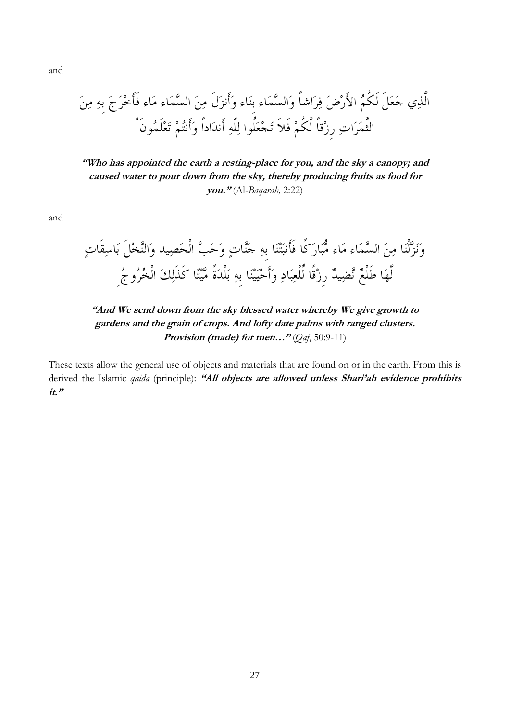الَّذِي جَعَلَ لَكُمُ الأَرْضَ فِرَاشاً وَالسَّمَاء بِنَاء وَأَنزَلَ مِنَ السَّمَاء مَاء فَأَخْرَجَ بِهِ مِنَ الثَّمَرَاتِ رِزْقاً لَّكُمْ فَلاَ تَجْعَلُوا لِلّهِ أَندَاداً وَأَنتُمْ تَعْلَمُونَْ

**"Who has appointed the earth a resting-place for you, and the sky a canopy; and caused water to pour down from the sky, thereby producing fruits as food for you."** (Al-*Baqarah,* 2:22)

and

وَنَزَّلْنَا مِنَ السَّمَاء مَاء مُّبَارَكًا فَأَنبَتْنَا بِهِ جَنَّاتٍ وَحَبَّ الْحَصِيد وَالنَّخْلَ بَاسِقَاتٍ لَّهَا طَلْعٌ نَّضِيدٌ رِزْقًا لِّلْعِبَادِ وَأَحْيَيْنَا بِهِ بَلْدَةً مَّيْتًا كَذَلِكَ الْخُرُوجُِ

**"And We send down from the sky blessed water whereby We give growth to gardens and the grain of crops. And lofty date palms with ranged clusters. Provision (made) for men…"** (*Qaf*, 50:9-11)

These texts allow the general use of objects and materials that are found on or in the earth. From this is derived the Islamic *qaida* (principle): **"All objects are allowed unless Shari'ah evidence prohibits it."** 

and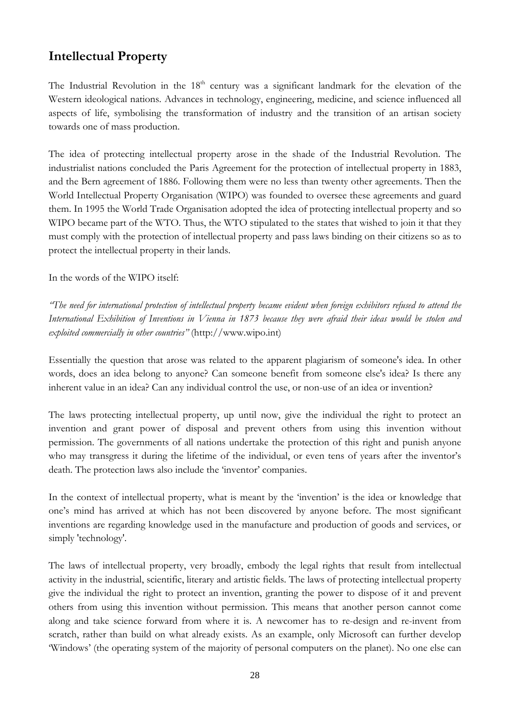# **Intellectual Property**

The Industrial Revolution in the 18<sup>th</sup> century was a significant landmark for the elevation of the Western ideological nations. Advances in technology, engineering, medicine, and science influenced all aspects of life, symbolising the transformation of industry and the transition of an artisan society towards one of mass production.

The idea of protecting intellectual property arose in the shade of the Industrial Revolution. The industrialist nations concluded the Paris Agreement for the protection of intellectual property in 1883, and the Bern agreement of 1886. Following them were no less than twenty other agreements. Then the World Intellectual Property Organisation (WIPO) was founded to oversee these agreements and guard them. In 1995 the World Trade Organisation adopted the idea of protecting intellectual property and so WIPO became part of the WTO. Thus, the WTO stipulated to the states that wished to join it that they must comply with the protection of intellectual property and pass laws binding on their citizens so as to protect the intellectual property in their lands.

## In the words of the WIPO itself:

*"The need for international protection of intellectual property became evident when foreign exhibitors refused to attend the International Exhibition of Inventions in Vienna in 1873 because they were afraid their ideas would be stolen and exploited commercially in other countries"* (http://www.wipo.int)

Essentially the question that arose was related to the apparent plagiarism of someone's idea. In other words, does an idea belong to anyone? Can someone benefit from someone else's idea? Is there any inherent value in an idea? Can any individual control the use, or non-use of an idea or invention?

The laws protecting intellectual property, up until now, give the individual the right to protect an invention and grant power of disposal and prevent others from using this invention without permission. The governments of all nations undertake the protection of this right and punish anyone who may transgress it during the lifetime of the individual, or even tens of years after the inventor's death. The protection laws also include the 'inventor' companies.

In the context of intellectual property, what is meant by the 'invention' is the idea or knowledge that one's mind has arrived at which has not been discovered by anyone before. The most significant inventions are regarding knowledge used in the manufacture and production of goods and services, or simply 'technology'.

The laws of intellectual property, very broadly, embody the legal rights that result from intellectual activity in the industrial, scientific, literary and artistic fields. The laws of protecting intellectual property give the individual the right to protect an invention, granting the power to dispose of it and prevent others from using this invention without permission. This means that another person cannot come along and take science forward from where it is. A newcomer has to re-design and re-invent from scratch, rather than build on what already exists. As an example, only Microsoft can further develop 'Windows' (the operating system of the majority of personal computers on the planet). No one else can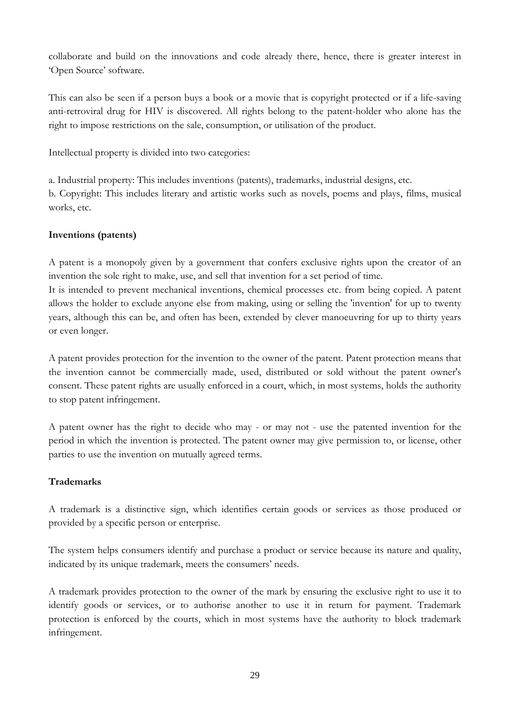collaborate and build on the innovations and code already there, hence, there is greater interest in 'Open Source' software.

This can also be seen if a person buys a book or a movie that is copyright protected or if a life-saving anti-retroviral drug for HIV is discovered. All rights belong to the patent-holder who alone has the right to impose restrictions on the sale, consumption, or utilisation of the product.

Intellectual property is divided into two categories:

a. Industrial property: This includes inventions (patents), trademarks, industrial designs, etc. b. Copyright: This includes literary and artistic works such as novels, poems and plays, films, musical works, etc.

## **Inventions (patents)**

A patent is a monopoly given by a government that confers exclusive rights upon the creator of an invention the sole right to make, use, and sell that invention for a set period of time.

It is intended to prevent mechanical inventions, chemical processes etc. from being copied. A patent allows the holder to exclude anyone else from making, using or selling the 'invention' for up to twenty years, although this can be, and often has been, extended by clever manoeuvring for up to thirty years or even longer.

A patent provides protection for the invention to the owner of the patent. Patent protection means that the invention cannot be commercially made, used, distributed or sold without the patent owner's consent. These patent rights are usually enforced in a court, which, in most systems, holds the authority to stop patent infringement.

A patent owner has the right to decide who may - or may not - use the patented invention for the period in which the invention is protected. The patent owner may give permission to, or license, other parties to use the invention on mutually agreed terms.

## **Trademarks**

A trademark is a distinctive sign, which identifies certain goods or services as those produced or provided by a specific person or enterprise.

The system helps consumers identify and purchase a product or service because its nature and quality, indicated by its unique trademark, meets the consumers' needs.

A trademark provides protection to the owner of the mark by ensuring the exclusive right to use it to identify goods or services, or to authorise another to use it in return for payment. Trademark protection is enforced by the courts, which in most systems have the authority to block trademark infringement.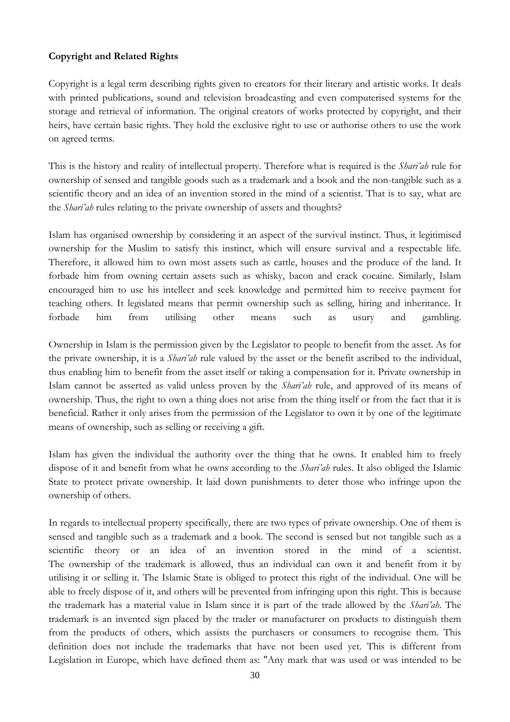## **Copyright and Related Rights**

Copyright is a legal term describing rights given to creators for their literary and artistic works. It deals with printed publications, sound and television broadcasting and even computerised systems for the storage and retrieval of information. The original creators of works protected by copyright, and their heirs, have certain basic rights. They hold the exclusive right to use or authorise others to use the work on agreed terms.

This is the history and reality of intellectual property. Therefore what is required is the *Shari'ah* rule for ownership of sensed and tangible goods such as a trademark and a book and the non-tangible such as a scientific theory and an idea of an invention stored in the mind of a scientist. That is to say, what are the *Shari'ah* rules relating to the private ownership of assets and thoughts?

Islam has organised ownership by considering it an aspect of the survival instinct. Thus, it legitimised ownership for the Muslim to satisfy this instinct, which will ensure survival and a respectable life. Therefore, it allowed him to own most assets such as cattle, houses and the produce of the land. It forbade him from owning certain assets such as whisky, bacon and crack cocaine. Similarly, Islam encouraged him to use his intellect and seek knowledge and permitted him to receive payment for teaching others. It legislated means that permit ownership such as selling, hiring and inheritance. It forbade him from utilising other means such as usury and gambling.

Ownership in Islam is the permission given by the Legislator to people to benefit from the asset. As for the private ownership, it is a *Shari'ah* rule valued by the asset or the benefit ascribed to the individual, thus enabling him to benefit from the asset itself or taking a compensation for it. Private ownership in Islam cannot be asserted as valid unless proven by the *Shari'ah* rule, and approved of its means of ownership. Thus, the right to own a thing does not arise from the thing itself or from the fact that it is beneficial. Rather it only arises from the permission of the Legislator to own it by one of the legitimate means of ownership, such as selling or receiving a gift.

Islam has given the individual the authority over the thing that he owns. It enabled him to freely dispose of it and benefit from what he owns according to the *Shari'ah* rules. It also obliged the Islamic State to protect private ownership. It laid down punishments to deter those who infringe upon the ownership of others.

In regards to intellectual property specifically, there are two types of private ownership. One of them is sensed and tangible such as a trademark and a book. The second is sensed but not tangible such as a scientific theory or an idea of an invention stored in the mind of a scientist. The ownership of the trademark is allowed, thus an individual can own it and benefit from it by utilising it or selling it. The Islamic State is obliged to protect this right of the individual. One will be able to freely dispose of it, and others will be prevented from infringing upon this right. This is because the trademark has a material value in Islam since it is part of the trade allowed by the *Shari'ah*. The trademark is an invented sign placed by the trader or manufacturer on products to distinguish them from the products of others, which assists the purchasers or consumers to recognise them. This definition does not include the trademarks that have not been used yet. This is different from Legislation in Europe, which have defined them as: "Any mark that was used or was intended to be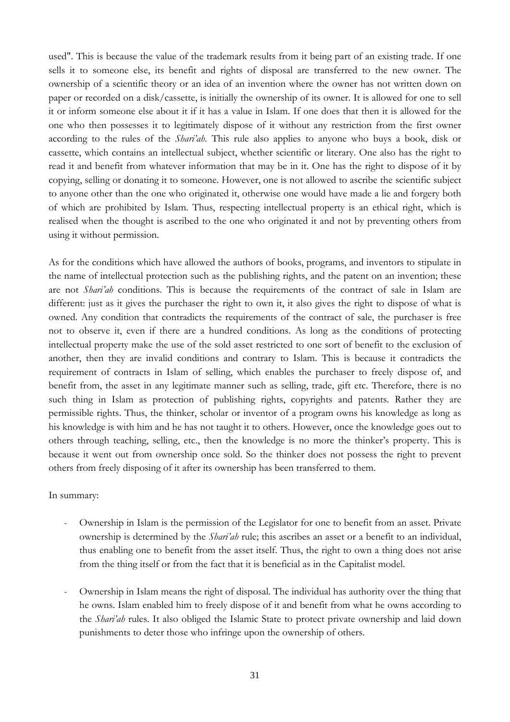used". This is because the value of the trademark results from it being part of an existing trade. If one sells it to someone else, its benefit and rights of disposal are transferred to the new owner. The ownership of a scientific theory or an idea of an invention where the owner has not written down on paper or recorded on a disk/cassette, is initially the ownership of its owner. It is allowed for one to sell it or inform someone else about it if it has a value in Islam. If one does that then it is allowed for the one who then possesses it to legitimately dispose of it without any restriction from the first owner according to the rules of the *Shari'ah*. This rule also applies to anyone who buys a book, disk or cassette, which contains an intellectual subject, whether scientific or literary. One also has the right to read it and benefit from whatever information that may be in it. One has the right to dispose of it by copying, selling or donating it to someone. However, one is not allowed to ascribe the scientific subject to anyone other than the one who originated it, otherwise one would have made a lie and forgery both of which are prohibited by Islam. Thus, respecting intellectual property is an ethical right, which is realised when the thought is ascribed to the one who originated it and not by preventing others from using it without permission.

As for the conditions which have allowed the authors of books, programs, and inventors to stipulate in the name of intellectual protection such as the publishing rights, and the patent on an invention; these are not *Shari'ah* conditions. This is because the requirements of the contract of sale in Islam are different: just as it gives the purchaser the right to own it, it also gives the right to dispose of what is owned. Any condition that contradicts the requirements of the contract of sale, the purchaser is free not to observe it, even if there are a hundred conditions. As long as the conditions of protecting intellectual property make the use of the sold asset restricted to one sort of benefit to the exclusion of another, then they are invalid conditions and contrary to Islam. This is because it contradicts the requirement of contracts in Islam of selling, which enables the purchaser to freely dispose of, and benefit from, the asset in any legitimate manner such as selling, trade, gift etc. Therefore, there is no such thing in Islam as protection of publishing rights, copyrights and patents. Rather they are permissible rights. Thus, the thinker, scholar or inventor of a program owns his knowledge as long as his knowledge is with him and he has not taught it to others. However, once the knowledge goes out to others through teaching, selling, etc., then the knowledge is no more the thinker's property. This is because it went out from ownership once sold. So the thinker does not possess the right to prevent others from freely disposing of it after its ownership has been transferred to them.

In summary:

- Ownership in Islam is the permission of the Legislator for one to benefit from an asset. Private ownership is determined by the *Shari'ah* rule; this ascribes an asset or a benefit to an individual, thus enabling one to benefit from the asset itself. Thus, the right to own a thing does not arise from the thing itself or from the fact that it is beneficial as in the Capitalist model.
- Ownership in Islam means the right of disposal. The individual has authority over the thing that he owns. Islam enabled him to freely dispose of it and benefit from what he owns according to the *Shari'ah* rules. It also obliged the Islamic State to protect private ownership and laid down punishments to deter those who infringe upon the ownership of others.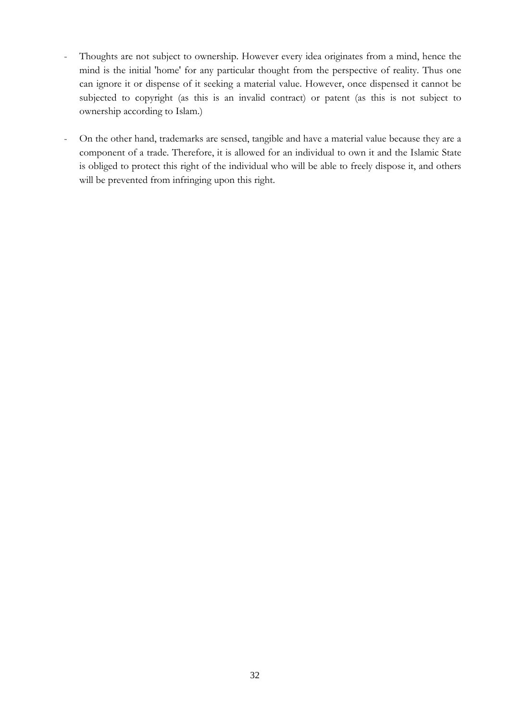- Thoughts are not subject to ownership. However every idea originates from a mind, hence the mind is the initial 'home' for any particular thought from the perspective of reality. Thus one can ignore it or dispense of it seeking a material value. However, once dispensed it cannot be subjected to copyright (as this is an invalid contract) or patent (as this is not subject to ownership according to Islam.)
- On the other hand, trademarks are sensed, tangible and have a material value because they are a component of a trade. Therefore, it is allowed for an individual to own it and the Islamic State is obliged to protect this right of the individual who will be able to freely dispose it, and others will be prevented from infringing upon this right.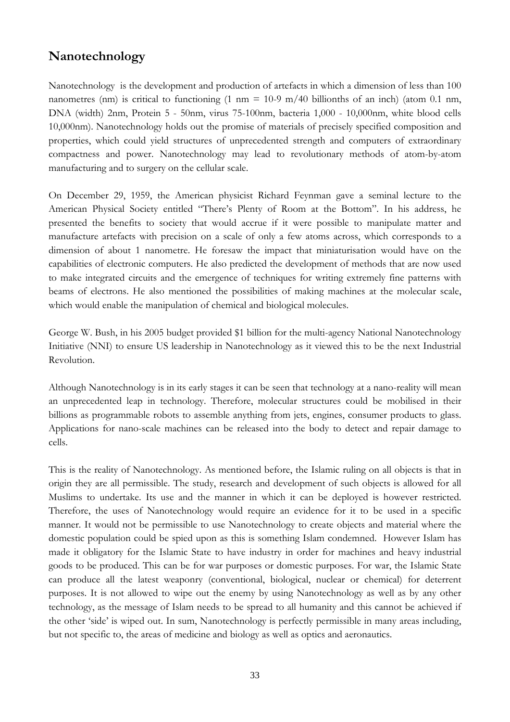# **Nanotechnology**

Nanotechnology is the development and production of artefacts in which a dimension of less than 100 nanometres (nm) is critical to functioning (1 nm = 10-9 m/40 billionths of an inch) (atom 0.1 nm, DNA (width) 2nm, Protein 5 - 50nm, virus 75-100nm, bacteria 1,000 - 10,000nm, white blood cells 10,000nm). Nanotechnology holds out the promise of materials of precisely specified composition and properties, which could yield structures of unprecedented strength and computers of extraordinary compactness and power. Nanotechnology may lead to revolutionary methods of atom-by-atom manufacturing and to surgery on the cellular scale.

On December 29, 1959, the American physicist Richard Feynman gave a seminal lecture to the American Physical Society entitled "There's Plenty of Room at the Bottom". In his address, he presented the benefits to society that would accrue if it were possible to manipulate matter and manufacture artefacts with precision on a scale of only a few atoms across, which corresponds to a dimension of about 1 nanometre. He foresaw the impact that miniaturisation would have on the capabilities of electronic computers. He also predicted the development of methods that are now used to make integrated circuits and the emergence of techniques for writing extremely fine patterns with beams of electrons. He also mentioned the possibilities of making machines at the molecular scale, which would enable the manipulation of chemical and biological molecules.

George W. Bush, in his 2005 budget provided \$1 billion for the multi-agency National Nanotechnology Initiative (NNI) to ensure US leadership in Nanotechnology as it viewed this to be the next Industrial Revolution.

Although Nanotechnology is in its early stages it can be seen that technology at a nano-reality will mean an unprecedented leap in technology. Therefore, molecular structures could be mobilised in their billions as programmable robots to assemble anything from jets, engines, consumer products to glass. Applications for nano-scale machines can be released into the body to detect and repair damage to cells.

This is the reality of Nanotechnology. As mentioned before, the Islamic ruling on all objects is that in origin they are all permissible. The study, research and development of such objects is allowed for all Muslims to undertake. Its use and the manner in which it can be deployed is however restricted. Therefore, the uses of Nanotechnology would require an evidence for it to be used in a specific manner. It would not be permissible to use Nanotechnology to create objects and material where the domestic population could be spied upon as this is something Islam condemned. However Islam has made it obligatory for the Islamic State to have industry in order for machines and heavy industrial goods to be produced. This can be for war purposes or domestic purposes. For war, the Islamic State can produce all the latest weaponry (conventional, biological, nuclear or chemical) for deterrent purposes. It is not allowed to wipe out the enemy by using Nanotechnology as well as by any other technology, as the message of Islam needs to be spread to all humanity and this cannot be achieved if the other 'side' is wiped out. In sum, Nanotechnology is perfectly permissible in many areas including, but not specific to, the areas of medicine and biology as well as optics and aeronautics.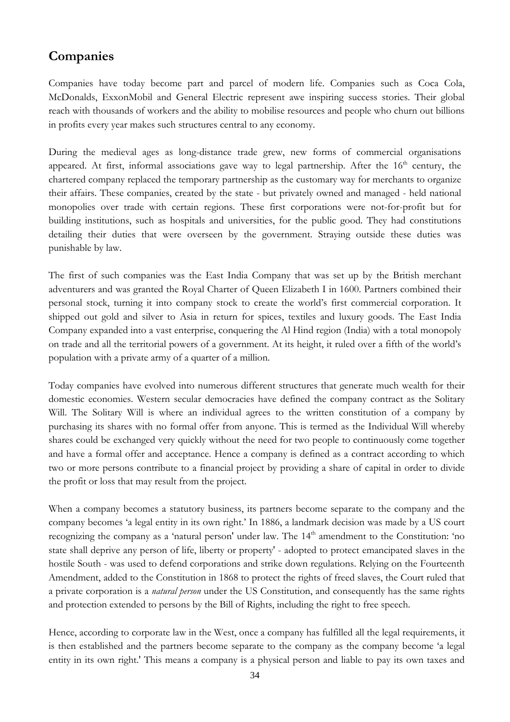# **Companies**

Companies have today become part and parcel of modern life. Companies such as Coca Cola, McDonalds, ExxonMobil and General Electric represent awe inspiring success stories. Their global reach with thousands of workers and the ability to mobilise resources and people who churn out billions in profits every year makes such structures central to any economy.

During the medieval ages as long-distance trade grew, new forms of commercial organisations appeared. At first, informal associations gave way to legal partnership. After the 16<sup>th</sup> century, the chartered company replaced the temporary partnership as the customary way for merchants to organize their affairs. These companies, created by the state - but privately owned and managed - held national monopolies over trade with certain regions. These first corporations were not-for-profit but for building institutions, such as hospitals and universities, for the public good. They had constitutions detailing their duties that were overseen by the government. Straying outside these duties was punishable by law.

The first of such companies was the East India Company that was set up by the British merchant adventurers and was granted the Royal Charter of Queen Elizabeth I in 1600. Partners combined their personal stock, turning it into company stock to create the world's first commercial corporation. It shipped out gold and silver to Asia in return for spices, textiles and luxury goods. The East India Company expanded into a vast enterprise, conquering the Al Hind region (India) with a total monopoly on trade and all the territorial powers of a government. At its height, it ruled over a fifth of the world's population with a private army of a quarter of a million.

Today companies have evolved into numerous different structures that generate much wealth for their domestic economies. Western secular democracies have defined the company contract as the Solitary Will. The Solitary Will is where an individual agrees to the written constitution of a company by purchasing its shares with no formal offer from anyone. This is termed as the Individual Will whereby shares could be exchanged very quickly without the need for two people to continuously come together and have a formal offer and acceptance. Hence a company is defined as a contract according to which two or more persons contribute to a financial project by providing a share of capital in order to divide the profit or loss that may result from the project.

When a company becomes a statutory business, its partners become separate to the company and the company becomes 'a legal entity in its own right.' In 1886, a landmark decision was made by a US court recognizing the company as a 'natural person' under law. The 14<sup>th</sup> amendment to the Constitution: 'no state shall deprive any person of life, liberty or property' - adopted to protect emancipated slaves in the hostile South - was used to defend corporations and strike down regulations. Relying on the Fourteenth Amendment, added to the Constitution in 1868 to protect the rights of freed slaves, the Court ruled that a private corporation is a *natural person* under the US Constitution, and consequently has the same rights and protection extended to persons by the Bill of Rights, including the right to free speech.

Hence, according to corporate law in the West, once a company has fulfilled all the legal requirements, it is then established and the partners become separate to the company as the company become 'a legal entity in its own right.' This means a company is a physical person and liable to pay its own taxes and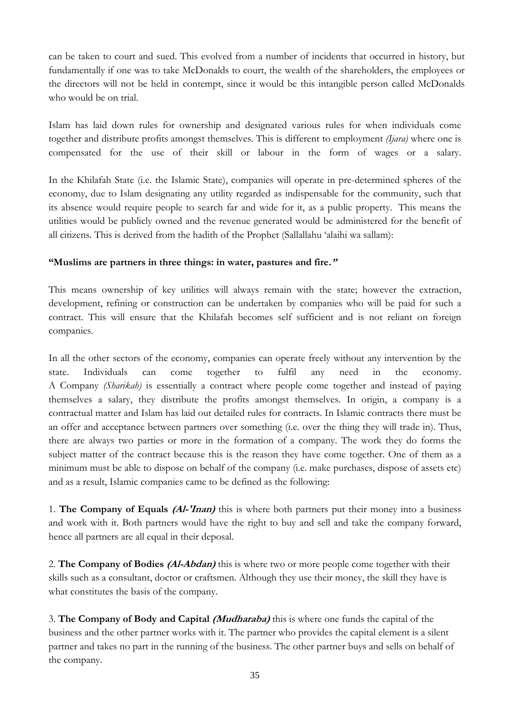can be taken to court and sued. This evolved from a number of incidents that occurred in history, but fundamentally if one was to take McDonalds to court, the wealth of the shareholders, the employees or the directors will not be held in contempt, since it would be this intangible person called McDonalds who would be on trial.

Islam has laid down rules for ownership and designated various rules for when individuals come together and distribute profits amongst themselves. This is different to employment *(Ijara)* where one is compensated for the use of their skill or labour in the form of wages or a salary.

In the Khilafah State (i.e. the Islamic State), companies will operate in pre-determined spheres of the economy, due to Islam designating any utility regarded as indispensable for the community, such that its absence would require people to search far and wide for it, as a public property. This means the utilities would be publicly owned and the revenue generated would be administered for the benefit of all citizens. This is derived from the hadith of the Prophet (Sallallahu 'alaihi wa sallam):

## **"Muslims are partners in three things: in water, pastures and fire."**

This means ownership of key utilities will always remain with the state; however the extraction, development, refining or construction can be undertaken by companies who will be paid for such a contract. This will ensure that the Khilafah becomes self sufficient and is not reliant on foreign companies.

In all the other sectors of the economy, companies can operate freely without any intervention by the state. Individuals can come together to fulfil any need in the economy. A Company *(Sharikah)* is essentially a contract where people come together and instead of paying themselves a salary, they distribute the profits amongst themselves. In origin, a company is a contractual matter and Islam has laid out detailed rules for contracts. In Islamic contracts there must be an offer and acceptance between partners over something (i.e. over the thing they will trade in). Thus, there are always two parties or more in the formation of a company. The work they do forms the subject matter of the contract because this is the reason they have come together. One of them as a minimum must be able to dispose on behalf of the company (i.e. make purchases, dispose of assets etc) and as a result, Islamic companies came to be defined as the following:

1. **The Company of Equals (Al-'Inan)** this is where both partners put their money into a business and work with it. Both partners would have the right to buy and sell and take the company forward, hence all partners are all equal in their deposal.

2. **The Company of Bodies (Al-Abdan)** this is where two or more people come together with their skills such as a consultant, doctor or craftsmen. Although they use their money, the skill they have is what constitutes the basis of the company.

3. **The Company of Body and Capital (Mudharaba)** this is where one funds the capital of the business and the other partner works with it. The partner who provides the capital element is a silent partner and takes no part in the running of the business. The other partner buys and sells on behalf of the company.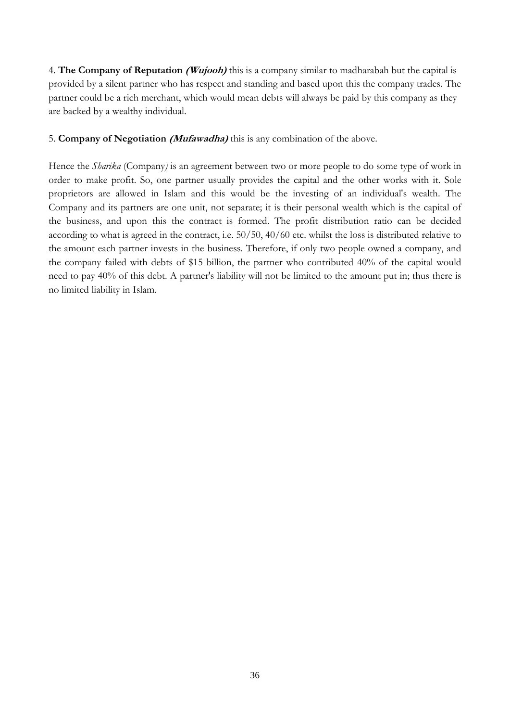4. **The Company of Reputation (Wujooh)** this is a company similar to madharabah but the capital is provided by a silent partner who has respect and standing and based upon this the company trades. The partner could be a rich merchant, which would mean debts will always be paid by this company as they are backed by a wealthy individual.

## 5. **Company of Negotiation (Mufawadha)** this is any combination of the above.

Hence the *Sharika* (Company*)* is an agreement between two or more people to do some type of work in order to make profit. So, one partner usually provides the capital and the other works with it. Sole proprietors are allowed in Islam and this would be the investing of an individual's wealth. The Company and its partners are one unit, not separate; it is their personal wealth which is the capital of the business, and upon this the contract is formed. The profit distribution ratio can be decided according to what is agreed in the contract, i.e. 50/50, 40/60 etc. whilst the loss is distributed relative to the amount each partner invests in the business. Therefore, if only two people owned a company, and the company failed with debts of \$15 billion, the partner who contributed 40% of the capital would need to pay 40% of this debt. A partner's liability will not be limited to the amount put in; thus there is no limited liability in Islam.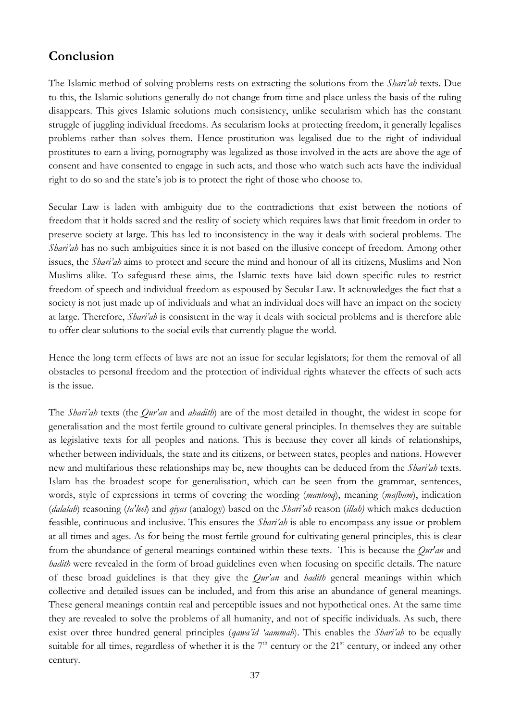# **Conclusion**

The Islamic method of solving problems rests on extracting the solutions from the *Shari'ah* texts. Due to this, the Islamic solutions generally do not change from time and place unless the basis of the ruling disappears. This gives Islamic solutions much consistency, unlike secularism which has the constant struggle of juggling individual freedoms. As secularism looks at protecting freedom, it generally legalises problems rather than solves them. Hence prostitution was legalised due to the right of individual prostitutes to earn a living, pornography was legalized as those involved in the acts are above the age of consent and have consented to engage in such acts, and those who watch such acts have the individual right to do so and the state's job is to protect the right of those who choose to.

Secular Law is laden with ambiguity due to the contradictions that exist between the notions of freedom that it holds sacred and the reality of society which requires laws that limit freedom in order to preserve society at large. This has led to inconsistency in the way it deals with societal problems. The *Shari'ah* has no such ambiguities since it is not based on the illusive concept of freedom. Among other issues, the *Shari'ah* aims to protect and secure the mind and honour of all its citizens, Muslims and Non Muslims alike. To safeguard these aims, the Islamic texts have laid down specific rules to restrict freedom of speech and individual freedom as espoused by Secular Law. It acknowledges the fact that a society is not just made up of individuals and what an individual does will have an impact on the society at large. Therefore, *Shari'ah* is consistent in the way it deals with societal problems and is therefore able to offer clear solutions to the social evils that currently plague the world.

Hence the long term effects of laws are not an issue for secular legislators; for them the removal of all obstacles to personal freedom and the protection of individual rights whatever the effects of such acts is the issue.

The *Shari'ah* texts (the *Qur'an* and *ahadith*) are of the most detailed in thought, the widest in scope for generalisation and the most fertile ground to cultivate general principles. In themselves they are suitable as legislative texts for all peoples and nations. This is because they cover all kinds of relationships, whether between individuals, the state and its citizens, or between states, peoples and nations. However new and multifarious these relationships may be, new thoughts can be deduced from the *Shari'ah* texts. Islam has the broadest scope for generalisation, which can be seen from the grammar, sentences, words, style of expressions in terms of covering the wording (*mantooq*), meaning (*mafhum*), indication (*dalalah*) reasoning (*ta'leel*) and *qiyas* (analogy) based on the *Shari'ah* reason (*illah)* which makes deduction feasible, continuous and inclusive. This ensures the *Shari'ah* is able to encompass any issue or problem at all times and ages. As for being the most fertile ground for cultivating general principles, this is clear from the abundance of general meanings contained within these texts. This is because the *Qur'an* and *hadith* were revealed in the form of broad guidelines even when focusing on specific details. The nature of these broad guidelines is that they give the *Qur'an* and *hadith* general meanings within which collective and detailed issues can be included, and from this arise an abundance of general meanings. These general meanings contain real and perceptible issues and not hypothetical ones. At the same time they are revealed to solve the problems of all humanity, and not of specific individuals. As such, there exist over three hundred general principles (*qawa'id 'aammah*). This enables the *Shari'ah* to be equally suitable for all times, regardless of whether it is the  $7<sup>th</sup>$  century or the 21<sup>st</sup> century, or indeed any other century.